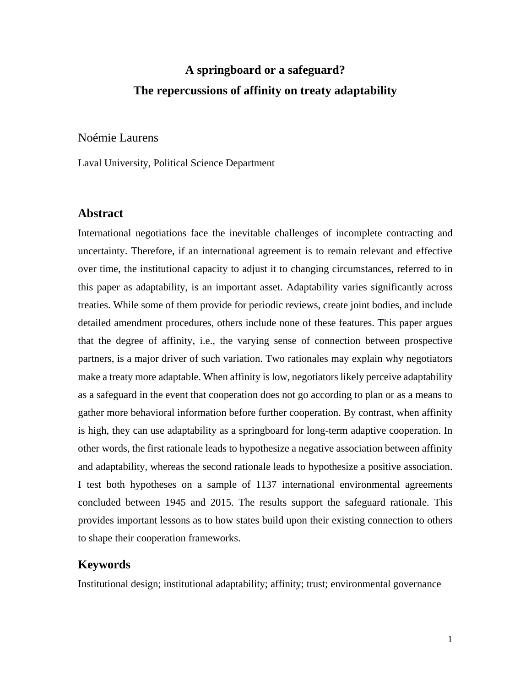# **A springboard or a safeguard? The repercussions of affinity on treaty adaptability**

Noémie Laurens

Laval University, Political Science Department

## **Abstract**

International negotiations face the inevitable challenges of incomplete contracting and uncertainty. Therefore, if an international agreement is to remain relevant and effective over time, the institutional capacity to adjust it to changing circumstances, referred to in this paper as adaptability, is an important asset. Adaptability varies significantly across treaties. While some of them provide for periodic reviews, create joint bodies, and include detailed amendment procedures, others include none of these features. This paper argues that the degree of affinity, i.e., the varying sense of connection between prospective partners, is a major driver of such variation. Two rationales may explain why negotiators make a treaty more adaptable. When affinity is low, negotiators likely perceive adaptability as a safeguard in the event that cooperation does not go according to plan or as a means to gather more behavioral information before further cooperation. By contrast, when affinity is high, they can use adaptability as a springboard for long-term adaptive cooperation. In other words, the first rationale leads to hypothesize a negative association between affinity and adaptability, whereas the second rationale leads to hypothesize a positive association. I test both hypotheses on a sample of 1137 international environmental agreements concluded between 1945 and 2015. The results support the safeguard rationale. This provides important lessons as to how states build upon their existing connection to others to shape their cooperation frameworks.

# **Keywords**

Institutional design; institutional adaptability; affinity; trust; environmental governance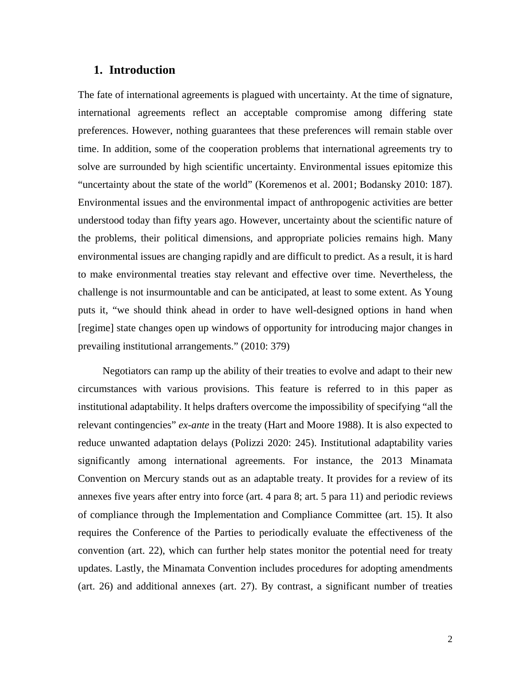# **1. Introduction**

The fate of international agreements is plagued with uncertainty. At the time of signature, international agreements reflect an acceptable compromise among differing state preferences. However, nothing guarantees that these preferences will remain stable over time. In addition, some of the cooperation problems that international agreements try to solve are surrounded by high scientific uncertainty. Environmental issues epitomize this "uncertainty about the state of the world" (Koremenos et al. 2001; Bodansky 2010: 187). Environmental issues and the environmental impact of anthropogenic activities are better understood today than fifty years ago. However, uncertainty about the scientific nature of the problems, their political dimensions, and appropriate policies remains high. Many environmental issues are changing rapidly and are difficult to predict. As a result, it is hard to make environmental treaties stay relevant and effective over time. Nevertheless, the challenge is not insurmountable and can be anticipated, at least to some extent. As Young puts it, "we should think ahead in order to have well-designed options in hand when [regime] state changes open up windows of opportunity for introducing major changes in prevailing institutional arrangements." (2010: 379)

Negotiators can ramp up the ability of their treaties to evolve and adapt to their new circumstances with various provisions. This feature is referred to in this paper as institutional adaptability. It helps drafters overcome the impossibility of specifying "all the relevant contingencies" *ex-ante* in the treaty (Hart and Moore 1988). It is also expected to reduce unwanted adaptation delays (Polizzi 2020: 245). Institutional adaptability varies significantly among international agreements. For instance, the 2013 Minamata Convention on Mercury stands out as an adaptable treaty. It provides for a review of its annexes five years after entry into force (art. 4 para 8; art. 5 para 11) and periodic reviews of compliance through the Implementation and Compliance Committee (art. 15). It also requires the Conference of the Parties to periodically evaluate the effectiveness of the convention (art. 22), which can further help states monitor the potential need for treaty updates. Lastly, the Minamata Convention includes procedures for adopting amendments (art. 26) and additional annexes (art. 27). By contrast, a significant number of treaties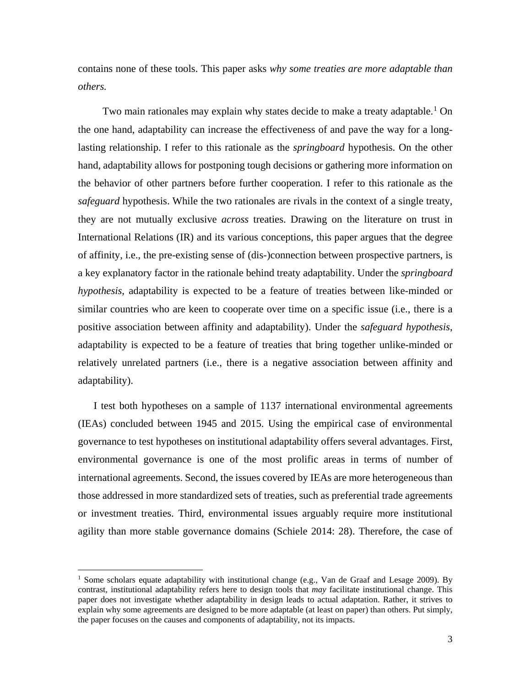contains none of these tools. This paper asks *why some treaties are more adaptable than others.*

Two main rationales may explain why states decide to make a treaty adaptable.<sup>[1](#page-2-0)</sup> On the one hand, adaptability can increase the effectiveness of and pave the way for a longlasting relationship. I refer to this rationale as the *springboard* hypothesis. On the other hand, adaptability allows for postponing tough decisions or gathering more information on the behavior of other partners before further cooperation. I refer to this rationale as the *safeguard* hypothesis. While the two rationales are rivals in the context of a single treaty, they are not mutually exclusive *across* treaties. Drawing on the literature on trust in International Relations (IR) and its various conceptions, this paper argues that the degree of affinity, i.e., the pre-existing sense of (dis-)connection between prospective partners, is a key explanatory factor in the rationale behind treaty adaptability. Under the *springboard hypothesis*, adaptability is expected to be a feature of treaties between like-minded or similar countries who are keen to cooperate over time on a specific issue (i.e., there is a positive association between affinity and adaptability). Under the *safeguard hypothesis*, adaptability is expected to be a feature of treaties that bring together unlike-minded or relatively unrelated partners (i.e., there is a negative association between affinity and adaptability).

I test both hypotheses on a sample of 1137 international environmental agreements (IEAs) concluded between 1945 and 2015. Using the empirical case of environmental governance to test hypotheses on institutional adaptability offers several advantages. First, environmental governance is one of the most prolific areas in terms of number of international agreements. Second, the issues covered by IEAs are more heterogeneous than those addressed in more standardized sets of treaties, such as preferential trade agreements or investment treaties. Third, environmental issues arguably require more institutional agility than more stable governance domains (Schiele 2014: 28). Therefore, the case of

 $\overline{\phantom{a}}$ 

<span id="page-2-0"></span><sup>&</sup>lt;sup>1</sup> Some scholars equate adaptability with institutional change (e.g., Van de Graaf and Lesage 2009). By contrast, institutional adaptability refers here to design tools that *may* facilitate institutional change. This paper does not investigate whether adaptability in design leads to actual adaptation. Rather, it strives to explain why some agreements are designed to be more adaptable (at least on paper) than others. Put simply, the paper focuses on the causes and components of adaptability, not its impacts.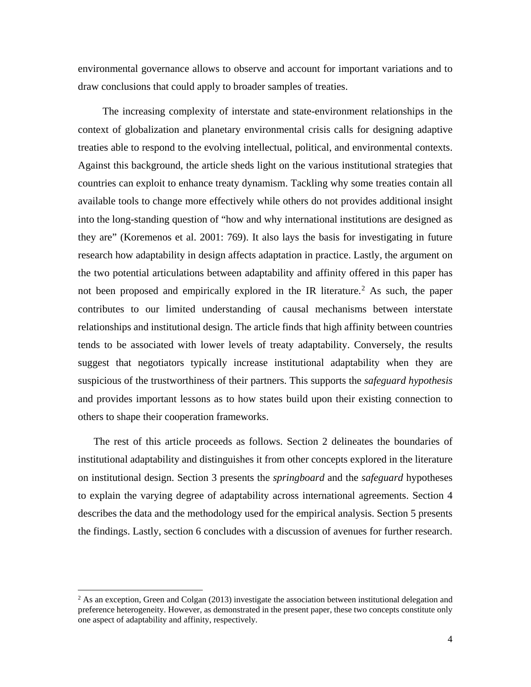environmental governance allows to observe and account for important variations and to draw conclusions that could apply to broader samples of treaties.

 The increasing complexity of interstate and state-environment relationships in the context of globalization and planetary environmental crisis calls for designing adaptive treaties able to respond to the evolving intellectual, political, and environmental contexts. Against this background, the article sheds light on the various institutional strategies that countries can exploit to enhance treaty dynamism. Tackling why some treaties contain all available tools to change more effectively while others do not provides additional insight into the long-standing question of "how and why international institutions are designed as they are" (Koremenos et al. 2001: 769). It also lays the basis for investigating in future research how adaptability in design affects adaptation in practice. Lastly, the argument on the two potential articulations between adaptability and affinity offered in this paper has not been proposed and empirically explored in the IR literature.<sup>[2](#page-3-0)</sup> As such, the paper contributes to our limited understanding of causal mechanisms between interstate relationships and institutional design. The article finds that high affinity between countries tends to be associated with lower levels of treaty adaptability. Conversely, the results suggest that negotiators typically increase institutional adaptability when they are suspicious of the trustworthiness of their partners. This supports the *safeguard hypothesis* and provides important lessons as to how states build upon their existing connection to others to shape their cooperation frameworks.

The rest of this article proceeds as follows. Section 2 delineates the boundaries of institutional adaptability and distinguishes it from other concepts explored in the literature on institutional design. Section 3 presents the *springboard* and the *safeguard* hypotheses to explain the varying degree of adaptability across international agreements. Section 4 describes the data and the methodology used for the empirical analysis. Section 5 presents the findings. Lastly, section 6 concludes with a discussion of avenues for further research.

 $\overline{a}$ 

<span id="page-3-0"></span><sup>&</sup>lt;sup>2</sup> As an exception, Green and Colgan (2013) investigate the association between institutional delegation and preference heterogeneity. However, as demonstrated in the present paper, these two concepts constitute only one aspect of adaptability and affinity, respectively.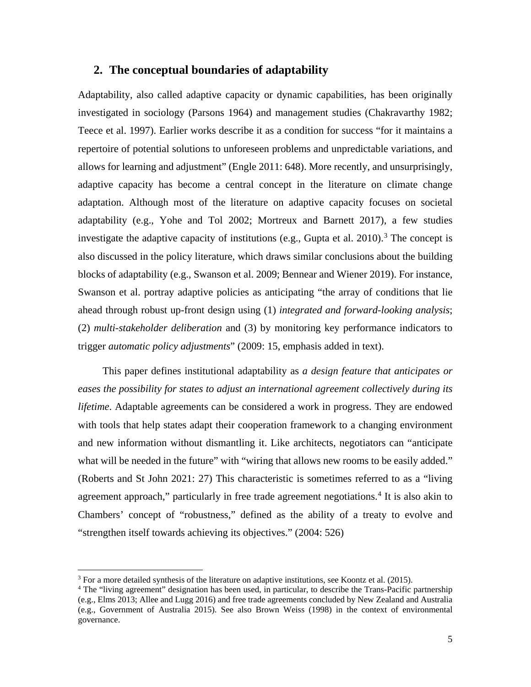# **2. The conceptual boundaries of adaptability**

Adaptability, also called adaptive capacity or dynamic capabilities, has been originally investigated in sociology (Parsons 1964) and management studies (Chakravarthy 1982; Teece et al. 1997). Earlier works describe it as a condition for success "for it maintains a repertoire of potential solutions to unforeseen problems and unpredictable variations, and allows for learning and adjustment" (Engle 2011: 648). More recently, and unsurprisingly, adaptive capacity has become a central concept in the literature on climate change adaptation. Although most of the literature on adaptive capacity focuses on societal adaptability (e.g., Yohe and Tol 2002; Mortreux and Barnett 2017), a few studies investigate the adaptive capacity of institutions (e.g., Gupta et al.  $2010$ ).<sup>[3](#page-4-0)</sup> The concept is also discussed in the policy literature, which draws similar conclusions about the building blocks of adaptability (e.g., Swanson et al. 2009; Bennear and Wiener 2019). For instance, Swanson et al. portray adaptive policies as anticipating "the array of conditions that lie ahead through robust up-front design using (1) *integrated and forward-looking analysis*; (2) *multi-stakeholder deliberation* and (3) by monitoring key performance indicators to trigger *automatic policy adjustments*" (2009: 15, emphasis added in text).

This paper defines institutional adaptability as *a design feature that anticipates or eases the possibility for states to adjust an international agreement collectively during its lifetime*. Adaptable agreements can be considered a work in progress. They are endowed with tools that help states adapt their cooperation framework to a changing environment and new information without dismantling it. Like architects, negotiators can "anticipate what will be needed in the future" with "wiring that allows new rooms to be easily added." (Roberts and St John 2021: 27) This characteristic is sometimes referred to as a "living agreement approach," particularly in free trade agreement negotiations.<sup>[4](#page-4-1)</sup> It is also akin to Chambers' concept of "robustness," defined as the ability of a treaty to evolve and "strengthen itself towards achieving its objectives." (2004: 526)

 $\overline{\phantom{a}}$ 

<span id="page-4-0"></span><sup>&</sup>lt;sup>3</sup> For a more detailed synthesis of the literature on adaptive institutions, see Koontz et al. (2015).  $4$  The "living agreement" designation has been used, in particular, to describe the Trans-Pacific partnership

<span id="page-4-1"></span><sup>(</sup>e.g., Elms 2013; Allee and Lugg 2016) and free trade agreements concluded by New Zealand and Australia (e.g., Government of Australia 2015). See also Brown Weiss (1998) in the context of environmental governance.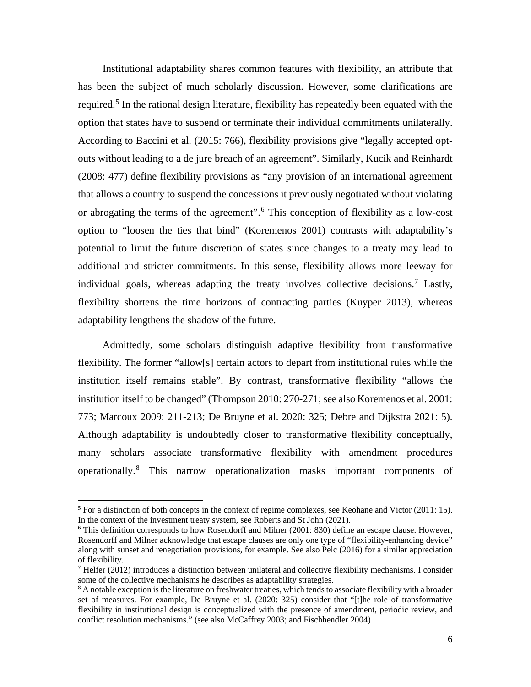Institutional adaptability shares common features with flexibility, an attribute that has been the subject of much scholarly discussion. However, some clarifications are required.<sup>[5](#page-5-0)</sup> In the rational design literature, flexibility has repeatedly been equated with the option that states have to suspend or terminate their individual commitments unilaterally. According to Baccini et al. (2015: 766), flexibility provisions give "legally accepted optouts without leading to a de jure breach of an agreement". Similarly, Kucik and Reinhardt (2008: 477) define flexibility provisions as "any provision of an international agreement that allows a country to suspend the concessions it previously negotiated without violating or abrogating the terms of the agreement".[6](#page-5-1) This conception of flexibility as a low-cost option to "loosen the ties that bind" (Koremenos 2001) contrasts with adaptability's potential to limit the future discretion of states since changes to a treaty may lead to additional and stricter commitments. In this sense, flexibility allows more leeway for individual goals, whereas adapting the treaty involves collective decisions.[7](#page-5-2) Lastly, flexibility shortens the time horizons of contracting parties (Kuyper 2013), whereas adaptability lengthens the shadow of the future.

Admittedly, some scholars distinguish adaptive flexibility from transformative flexibility. The former "allow[s] certain actors to depart from institutional rules while the institution itself remains stable". By contrast, transformative flexibility "allows the institution itself to be changed" (Thompson 2010: 270-271; see also Koremenos et al. 2001: 773; Marcoux 2009: 211-213; De Bruyne et al. 2020: 325; Debre and Dijkstra 2021: 5). Although adaptability is undoubtedly closer to transformative flexibility conceptually, many scholars associate transformative flexibility with amendment procedures operationally.[8](#page-5-3) This narrow operationalization masks important components of

 $\overline{a}$ 

<span id="page-5-0"></span><sup>&</sup>lt;sup>5</sup> For a distinction of both concepts in the context of regime complexes, see Keohane and Victor (2011: 15). In the context of the investment treaty system, see Roberts and St John (2021).

<span id="page-5-1"></span><sup>&</sup>lt;sup>6</sup> This definition corresponds to how Rosendorff and Milner (2001: 830) define an escape clause. However, Rosendorff and Milner acknowledge that escape clauses are only one type of "flexibility-enhancing device" along with sunset and renegotiation provisions, for example. See also Pelc (2016) for a similar appreciation of flexibility.

<span id="page-5-2"></span><sup>&</sup>lt;sup>7</sup> Helfer (2012) introduces a distinction between unilateral and collective flexibility mechanisms. I consider some of the collective mechanisms he describes as adaptability strategies.<br><sup>8</sup> A notable exception is the literature on freshwater treaties, which tends to associate flexibility with a broader

<span id="page-5-3"></span>set of measures. For example, De Bruyne et al. (2020: 325) consider that "[t]he role of transformative flexibility in institutional design is conceptualized with the presence of amendment, periodic review, and conflict resolution mechanisms." (see also McCaffrey 2003; and Fischhendler 2004)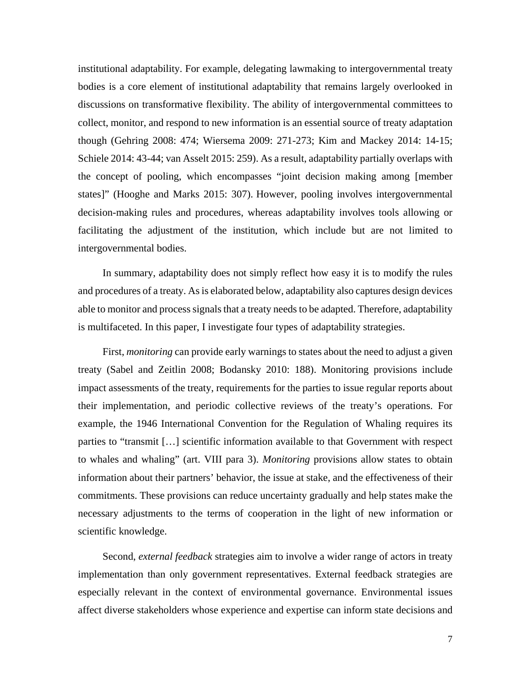institutional adaptability. For example, delegating lawmaking to intergovernmental treaty bodies is a core element of institutional adaptability that remains largely overlooked in discussions on transformative flexibility. The ability of intergovernmental committees to collect, monitor, and respond to new information is an essential source of treaty adaptation though (Gehring 2008: 474; Wiersema 2009: 271-273; Kim and Mackey 2014: 14-15; Schiele 2014: 43-44; van Asselt 2015: 259). As a result, adaptability partially overlaps with the concept of pooling, which encompasses "joint decision making among [member states]" (Hooghe and Marks 2015: 307). However, pooling involves intergovernmental decision-making rules and procedures, whereas adaptability involves tools allowing or facilitating the adjustment of the institution, which include but are not limited to intergovernmental bodies.

In summary, adaptability does not simply reflect how easy it is to modify the rules and procedures of a treaty. As is elaborated below, adaptability also captures design devices able to monitor and processsignals that a treaty needs to be adapted. Therefore, adaptability is multifaceted. In this paper, I investigate four types of adaptability strategies.

First, *monitoring* can provide early warnings to states about the need to adjust a given treaty (Sabel and Zeitlin 2008; Bodansky 2010: 188). Monitoring provisions include impact assessments of the treaty, requirements for the parties to issue regular reports about their implementation, and periodic collective reviews of the treaty's operations. For example, the 1946 International Convention for the Regulation of Whaling requires its parties to "transmit […] scientific information available to that Government with respect to whales and whaling" (art. VIII para 3). *Monitoring* provisions allow states to obtain information about their partners' behavior, the issue at stake, and the effectiveness of their commitments. These provisions can reduce uncertainty gradually and help states make the necessary adjustments to the terms of cooperation in the light of new information or scientific knowledge.

Second, *external feedback* strategies aim to involve a wider range of actors in treaty implementation than only government representatives. External feedback strategies are especially relevant in the context of environmental governance. Environmental issues affect diverse stakeholders whose experience and expertise can inform state decisions and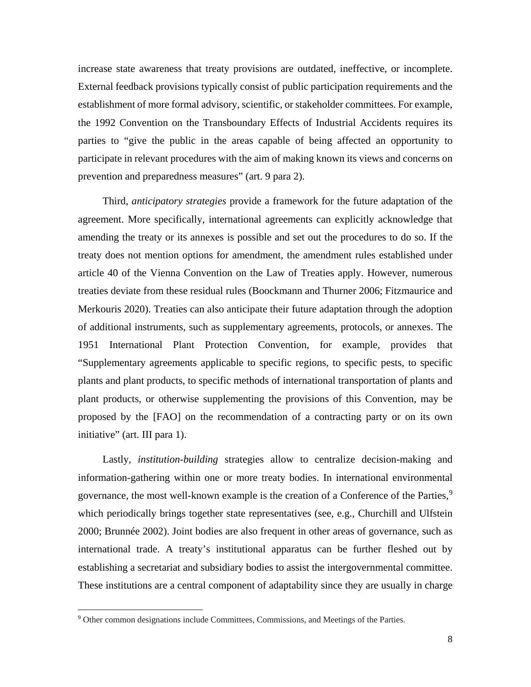increase state awareness that treaty provisions are outdated, ineffective, or incomplete. External feedback provisions typically consist of public participation requirements and the establishment of more formal advisory, scientific, or stakeholder committees. For example, the 1992 Convention on the Transboundary Effects of Industrial Accidents requires its parties to "give the public in the areas capable of being affected an opportunity to participate in relevant procedures with the aim of making known its views and concerns on prevention and preparedness measures" (art. 9 para 2).

Third, *anticipatory strategies* provide a framework for the future adaptation of the agreement. More specifically, international agreements can explicitly acknowledge that amending the treaty or its annexes is possible and set out the procedures to do so. If the treaty does not mention options for amendment, the amendment rules established under article 40 of the Vienna Convention on the Law of Treaties apply. However, numerous treaties deviate from these residual rules (Boockmann and Thurner 2006; Fitzmaurice and Merkouris 2020). Treaties can also anticipate their future adaptation through the adoption of additional instruments, such as supplementary agreements, protocols, or annexes. The 1951 International Plant Protection Convention, for example, provides that "Supplementary agreements applicable to specific regions, to specific pests, to specific plants and plant products, to specific methods of international transportation of plants and plant products, or otherwise supplementing the provisions of this Convention, may be proposed by the [FAO] on the recommendation of a contracting party or on its own initiative" (art. III para 1).

Lastly, *institution-building* strategies allow to centralize decision-making and information-gathering within one or more treaty bodies. In international environmental governance, the most well-known example is the creation of a Conference of the Parties, $9$ which periodically brings together state representatives (see, e.g., Churchill and Ulfstein 2000; Brunnée 2002). Joint bodies are also frequent in other areas of governance, such as international trade. A treaty's institutional apparatus can be further fleshed out by establishing a secretariat and subsidiary bodies to assist the intergovernmental committee. These institutions are a central component of adaptability since they are usually in charge

l

<span id="page-7-0"></span><sup>9</sup> Other common designations include Committees, Commissions, and Meetings of the Parties.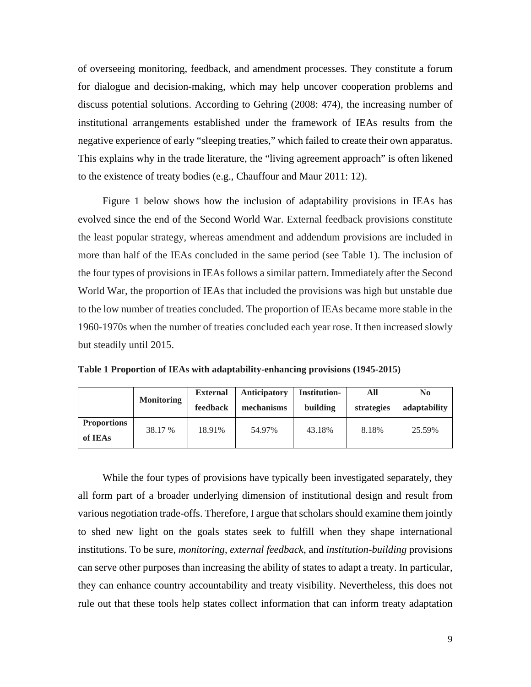of overseeing monitoring, feedback, and amendment processes. They constitute a forum for dialogue and decision-making, which may help uncover cooperation problems and discuss potential solutions. According to Gehring (2008: 474), the increasing number of institutional arrangements established under the framework of IEAs results from the negative experience of early "sleeping treaties," which failed to create their own apparatus. This explains why in the trade literature, the "living agreement approach" is often likened to the existence of treaty bodies (e.g., Chauffour and Maur 2011: 12).

Figure 1 below shows how the inclusion of adaptability provisions in IEAs has evolved since the end of the Second World War. External feedback provisions constitute the least popular strategy, whereas amendment and addendum provisions are included in more than half of the IEAs concluded in the same period (see Table 1). The inclusion of the four types of provisions in IEAs follows a similar pattern. Immediately after the Second World War, the proportion of IEAs that included the provisions was high but unstable due to the low number of treaties concluded. The proportion of IEAs became more stable in the 1960-1970s when the number of treaties concluded each year rose. It then increased slowly but steadily until 2015.

|                               |                   | <b>External</b> | <b>Anticipatory</b> | Institution- | All        | No           |
|-------------------------------|-------------------|-----------------|---------------------|--------------|------------|--------------|
|                               | <b>Monitoring</b> | feedback        | mechanisms          | building     | strategies | adaptability |
| <b>Proportions</b><br>of IEAs | 38.17 %           | 18.91%          | 54.97%              | 43.18%       | 8.18%      | 25.59%       |

**Table 1 Proportion of IEAs with adaptability-enhancing provisions (1945-2015)**

While the four types of provisions have typically been investigated separately, they all form part of a broader underlying dimension of institutional design and result from various negotiation trade-offs. Therefore, I argue that scholars should examine them jointly to shed new light on the goals states seek to fulfill when they shape international institutions. To be sure, *monitoring*, *external feedback*, and *institution-building* provisions can serve other purposes than increasing the ability of states to adapt a treaty. In particular, they can enhance country accountability and treaty visibility. Nevertheless, this does not rule out that these tools help states collect information that can inform treaty adaptation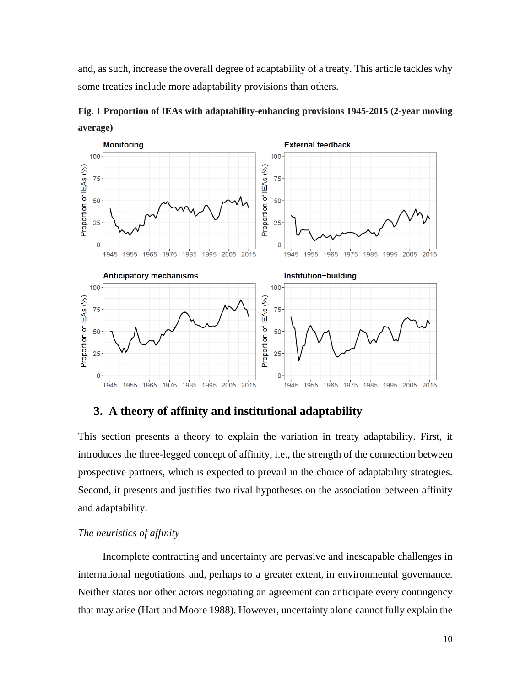and, as such, increase the overall degree of adaptability of a treaty. This article tackles why some treaties include more adaptability provisions than others.



**Fig. 1 Proportion of IEAs with adaptability-enhancing provisions 1945-2015 (2-year moving average)**

# **3. A theory of affinity and institutional adaptability**

This section presents a theory to explain the variation in treaty adaptability. First, it introduces the three-legged concept of affinity, i.e., the strength of the connection between prospective partners, which is expected to prevail in the choice of adaptability strategies. Second, it presents and justifies two rival hypotheses on the association between affinity and adaptability.

#### *The heuristics of affinity*

Incomplete contracting and uncertainty are pervasive and inescapable challenges in international negotiations and, perhaps to a greater extent, in environmental governance. Neither states nor other actors negotiating an agreement can anticipate every contingency that may arise (Hart and Moore 1988). However, uncertainty alone cannot fully explain the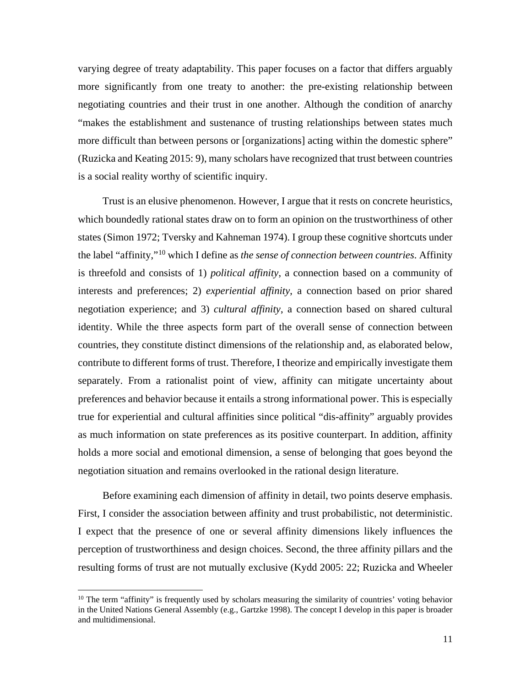varying degree of treaty adaptability. This paper focuses on a factor that differs arguably more significantly from one treaty to another: the pre-existing relationship between negotiating countries and their trust in one another. Although the condition of anarchy "makes the establishment and sustenance of trusting relationships between states much more difficult than between persons or [organizations] acting within the domestic sphere" (Ruzicka and Keating 2015: 9), many scholars have recognized that trust between countries is a social reality worthy of scientific inquiry.

Trust is an elusive phenomenon. However, I argue that it rests on concrete heuristics, which boundedly rational states draw on to form an opinion on the trustworthiness of other states (Simon 1972; Tversky and Kahneman 1974). I group these cognitive shortcuts under the label "affinity,"[10](#page-10-0) which I define as *the sense of connection between countries*. Affinity is threefold and consists of 1) *political affinity*, a connection based on a community of interests and preferences; 2) *experiential affinity*, a connection based on prior shared negotiation experience; and 3) *cultural affinity*, a connection based on shared cultural identity. While the three aspects form part of the overall sense of connection between countries, they constitute distinct dimensions of the relationship and, as elaborated below, contribute to different forms of trust. Therefore, I theorize and empirically investigate them separately. From a rationalist point of view, affinity can mitigate uncertainty about preferences and behavior because it entails a strong informational power. This is especially true for experiential and cultural affinities since political "dis-affinity" arguably provides as much information on state preferences as its positive counterpart. In addition, affinity holds a more social and emotional dimension, a sense of belonging that goes beyond the negotiation situation and remains overlooked in the rational design literature.

Before examining each dimension of affinity in detail, two points deserve emphasis. First, I consider the association between affinity and trust probabilistic, not deterministic. I expect that the presence of one or several affinity dimensions likely influences the perception of trustworthiness and design choices. Second, the three affinity pillars and the resulting forms of trust are not mutually exclusive (Kydd 2005: 22; Ruzicka and Wheeler

 $\overline{a}$ 

<span id="page-10-0"></span> $10$  The term "affinity" is frequently used by scholars measuring the similarity of countries' voting behavior in the United Nations General Assembly (e.g., Gartzke 1998). The concept I develop in this paper is broader and multidimensional.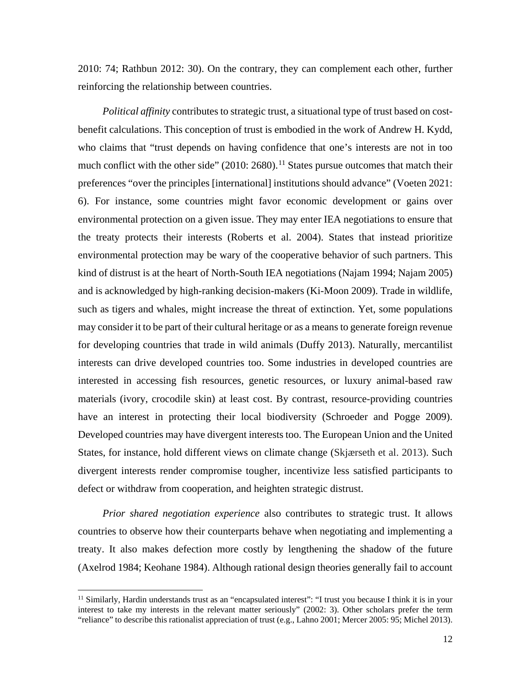2010: 74; Rathbun 2012: 30). On the contrary, they can complement each other, further reinforcing the relationship between countries.

*Political affinity* contributes to strategic trust, a situational type of trust based on costbenefit calculations. This conception of trust is embodied in the work of Andrew H. Kydd, who claims that "trust depends on having confidence that one's interests are not in too much conflict with the other side" (2010: 2680).<sup>[11](#page-11-0)</sup> States pursue outcomes that match their preferences "over the principles [international] institutions should advance" (Voeten 2021: 6). For instance, some countries might favor economic development or gains over environmental protection on a given issue. They may enter IEA negotiations to ensure that the treaty protects their interests (Roberts et al. 2004). States that instead prioritize environmental protection may be wary of the cooperative behavior of such partners. This kind of distrust is at the heart of North-South IEA negotiations (Najam 1994; Najam 2005) and is acknowledged by high-ranking decision-makers (Ki-Moon 2009). Trade in wildlife, such as tigers and whales, might increase the threat of extinction. Yet, some populations may consider it to be part of their cultural heritage or as a means to generate foreign revenue for developing countries that trade in wild animals (Duffy 2013). Naturally, mercantilist interests can drive developed countries too. Some industries in developed countries are interested in accessing fish resources, genetic resources, or luxury animal-based raw materials (ivory, crocodile skin) at least cost. By contrast, resource-providing countries have an interest in protecting their local biodiversity (Schroeder and Pogge 2009). Developed countries may have divergent interests too. The European Union and the United States, for instance, hold different views on climate change (Skjærseth et al. 2013). Such divergent interests render compromise tougher, incentivize less satisfied participants to defect or withdraw from cooperation, and heighten strategic distrust.

*Prior shared negotiation experience* also contributes to strategic trust. It allows countries to observe how their counterparts behave when negotiating and implementing a treaty. It also makes defection more costly by lengthening the shadow of the future (Axelrod 1984; Keohane 1984). Although rational design theories generally fail to account

 $\overline{a}$ 

<span id="page-11-0"></span><sup>&</sup>lt;sup>11</sup> Similarly, Hardin understands trust as an "encapsulated interest": "I trust you because I think it is in your interest to take my interests in the relevant matter seriously" (2002: 3). Other scholars prefer the term "reliance" to describe this rationalist appreciation of trust (e.g., Lahno 2001; Mercer 2005: 95; Michel 2013).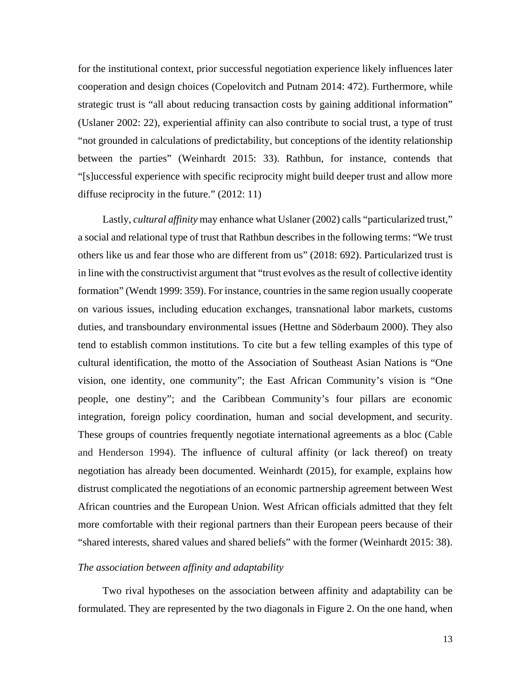for the institutional context, prior successful negotiation experience likely influences later cooperation and design choices (Copelovitch and Putnam 2014: 472). Furthermore, while strategic trust is "all about reducing transaction costs by gaining additional information" (Uslaner 2002: 22), experiential affinity can also contribute to social trust, a type of trust "not grounded in calculations of predictability, but conceptions of the identity relationship between the parties" (Weinhardt 2015: 33). Rathbun, for instance, contends that "[s]uccessful experience with specific reciprocity might build deeper trust and allow more diffuse reciprocity in the future." (2012: 11)

Lastly, *cultural affinity* may enhance what Uslaner (2002) calls "particularized trust," a social and relational type of trust that Rathbun describes in the following terms: "We trust others like us and fear those who are different from us" (2018: 692). Particularized trust is in line with the constructivist argument that "trust evolves as the result of collective identity formation" (Wendt 1999: 359). For instance, countries in the same region usually cooperate on various issues, including education exchanges, transnational labor markets, customs duties, and transboundary environmental issues (Hettne and Söderbaum 2000). They also tend to establish common institutions. To cite but a few telling examples of this type of cultural identification, the motto of the Association of Southeast Asian Nations is "One vision, one identity, one community"; the East African Community's vision is "One people, one destiny"; and the Caribbean Community's four pillars are economic integration, foreign policy coordination, human and social development, and security. These groups of countries frequently negotiate international agreements as a bloc (Cable and Henderson 1994). The influence of cultural affinity (or lack thereof) on treaty negotiation has already been documented. Weinhardt (2015), for example, explains how distrust complicated the negotiations of an economic partnership agreement between West African countries and the European Union. West African officials admitted that they felt more comfortable with their regional partners than their European peers because of their "shared interests, shared values and shared beliefs" with the former (Weinhardt 2015: 38).

#### *The association between affinity and adaptability*

Two rival hypotheses on the association between affinity and adaptability can be formulated. They are represented by the two diagonals in Figure 2. On the one hand, when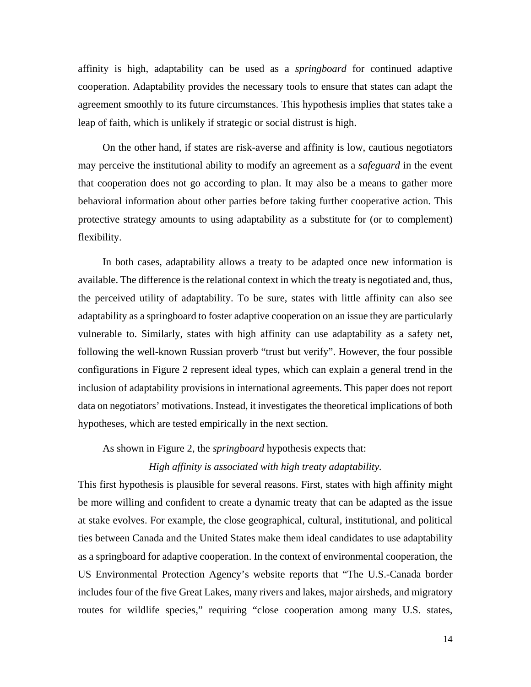affinity is high, adaptability can be used as a *springboard* for continued adaptive cooperation. Adaptability provides the necessary tools to ensure that states can adapt the agreement smoothly to its future circumstances. This hypothesis implies that states take a leap of faith, which is unlikely if strategic or social distrust is high.

On the other hand, if states are risk-averse and affinity is low, cautious negotiators may perceive the institutional ability to modify an agreement as a *safeguard* in the event that cooperation does not go according to plan. It may also be a means to gather more behavioral information about other parties before taking further cooperative action. This protective strategy amounts to using adaptability as a substitute for (or to complement) flexibility.

In both cases, adaptability allows a treaty to be adapted once new information is available. The difference is the relational context in which the treaty is negotiated and, thus, the perceived utility of adaptability. To be sure, states with little affinity can also see adaptability as a springboard to foster adaptive cooperation on an issue they are particularly vulnerable to. Similarly, states with high affinity can use adaptability as a safety net, following the well-known Russian proverb "trust but verify". However, the four possible configurations in Figure 2 represent ideal types, which can explain a general trend in the inclusion of adaptability provisions in international agreements. This paper does not report data on negotiators' motivations. Instead, it investigates the theoretical implications of both hypotheses, which are tested empirically in the next section.

As shown in Figure 2, the *springboard* hypothesis expects that:

#### *High affinity is associated with high treaty adaptability.*

This first hypothesis is plausible for several reasons. First, states with high affinity might be more willing and confident to create a dynamic treaty that can be adapted as the issue at stake evolves. For example, the close geographical, cultural, institutional, and political ties between Canada and the United States make them ideal candidates to use adaptability as a springboard for adaptive cooperation. In the context of environmental cooperation, the US Environmental Protection Agency's website reports that "The U.S.-Canada border includes four of the five Great Lakes, many rivers and lakes, major airsheds, and migratory routes for wildlife species," requiring "close cooperation among many U.S. states,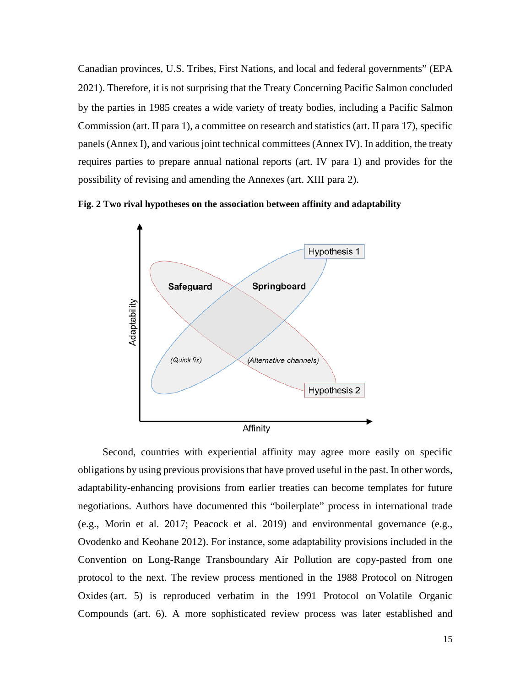Canadian provinces, U.S. Tribes, First Nations, and local and federal governments" (EPA 2021). Therefore, it is not surprising that the Treaty Concerning Pacific Salmon concluded by the parties in 1985 creates a wide variety of treaty bodies, including a Pacific Salmon Commission (art. II para 1), a committee on research and statistics (art. II para 17), specific panels (Annex I), and various joint technical committees (Annex IV). In addition, the treaty requires parties to prepare annual national reports (art. IV para 1) and provides for the possibility of revising and amending the Annexes (art. XIII para 2).

**Fig. 2 Two rival hypotheses on the association between affinity and adaptability** 



Second, countries with experiential affinity may agree more easily on specific obligations by using previous provisions that have proved useful in the past. In other words, adaptability-enhancing provisions from earlier treaties can become templates for future negotiations. Authors have documented this "boilerplate" process in international trade (e.g., Morin et al. 2017; Peacock et al. 2019) and environmental governance (e.g., Ovodenko and Keohane 2012). For instance, some adaptability provisions included in the Convention on Long-Range Transboundary Air Pollution are copy-pasted from one protocol to the next. The review process mentioned in the 1988 Protocol on Nitrogen Oxides (art. 5) is reproduced verbatim in the 1991 Protocol on Volatile Organic Compounds (art. 6). A more sophisticated review process was later established and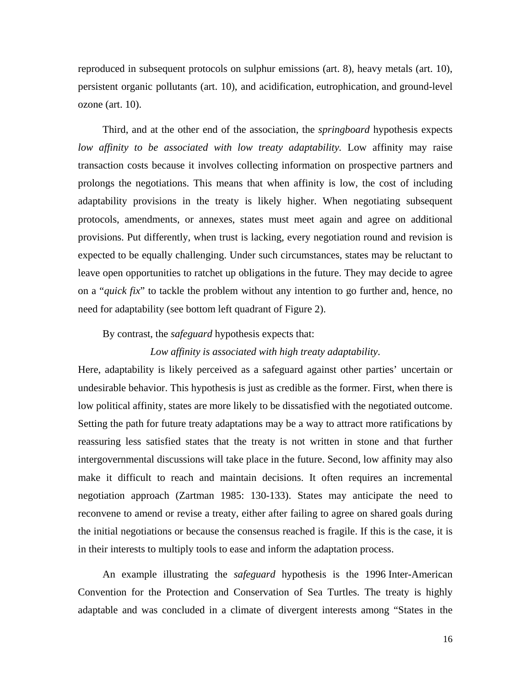reproduced in subsequent protocols on sulphur emissions (art. 8), heavy metals (art. 10), persistent organic pollutants (art. 10), and acidification, eutrophication, and ground-level ozone (art. 10).

Third, and at the other end of the association, the *springboard* hypothesis expects *low affinity to be associated with low treaty adaptability.* Low affinity may raise transaction costs because it involves collecting information on prospective partners and prolongs the negotiations. This means that when affinity is low, the cost of including adaptability provisions in the treaty is likely higher. When negotiating subsequent protocols, amendments, or annexes, states must meet again and agree on additional provisions. Put differently, when trust is lacking, every negotiation round and revision is expected to be equally challenging. Under such circumstances, states may be reluctant to leave open opportunities to ratchet up obligations in the future. They may decide to agree on a "*quick fix*" to tackle the problem without any intention to go further and, hence, no need for adaptability (see bottom left quadrant of Figure 2).

#### By contrast, the *safeguard* hypothesis expects that:

#### *Low affinity is associated with high treaty adaptability*.

Here, adaptability is likely perceived as a safeguard against other parties' uncertain or undesirable behavior. This hypothesis is just as credible as the former. First, when there is low political affinity, states are more likely to be dissatisfied with the negotiated outcome. Setting the path for future treaty adaptations may be a way to attract more ratifications by reassuring less satisfied states that the treaty is not written in stone and that further intergovernmental discussions will take place in the future. Second, low affinity may also make it difficult to reach and maintain decisions. It often requires an incremental negotiation approach (Zartman 1985: 130-133). States may anticipate the need to reconvene to amend or revise a treaty, either after failing to agree on shared goals during the initial negotiations or because the consensus reached is fragile. If this is the case, it is in their interests to multiply tools to ease and inform the adaptation process.

An example illustrating the *safeguard* hypothesis is the 1996 Inter-American Convention for the Protection and Conservation of Sea Turtles. The treaty is highly adaptable and was concluded in a climate of divergent interests among "States in the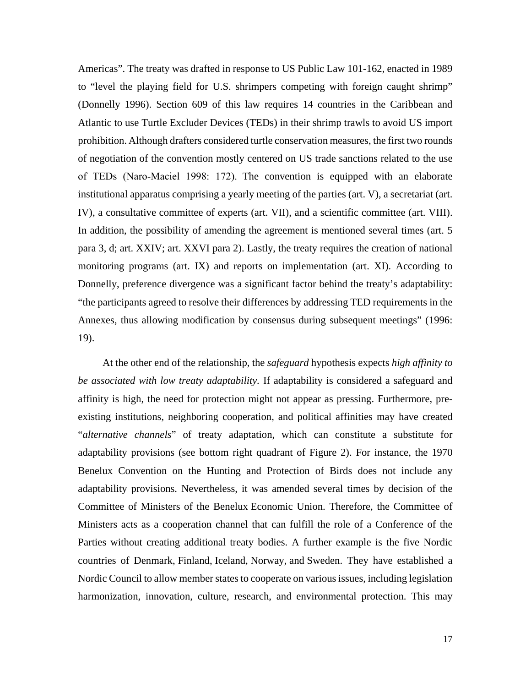Americas". The treaty was drafted in response to US Public Law 101-162, enacted in 1989 to "level the playing field for U.S. shrimpers competing with foreign caught shrimp" (Donnelly 1996). Section 609 of this law requires 14 countries in the Caribbean and Atlantic to use Turtle Excluder Devices (TEDs) in their shrimp trawls to avoid US import prohibition. Although drafters considered turtle conservation measures, the first two rounds of negotiation of the convention mostly centered on US trade sanctions related to the use of TEDs (Naro‐Maciel 1998: 172). The convention is equipped with an elaborate institutional apparatus comprising a yearly meeting of the parties (art. V), a secretariat (art. IV), a consultative committee of experts (art. VII), and a scientific committee (art. VIII). In addition, the possibility of amending the agreement is mentioned several times (art. 5 para 3, d; art. XXIV; art. XXVI para 2). Lastly, the treaty requires the creation of national monitoring programs (art. IX) and reports on implementation (art. XI). According to Donnelly, preference divergence was a significant factor behind the treaty's adaptability: "the participants agreed to resolve their differences by addressing TED requirements in the Annexes, thus allowing modification by consensus during subsequent meetings" (1996: 19).

At the other end of the relationship, the *safeguard* hypothesis expects *high affinity to be associated with low treaty adaptability.* If adaptability is considered a safeguard and affinity is high, the need for protection might not appear as pressing. Furthermore, preexisting institutions, neighboring cooperation, and political affinities may have created "*alternative channels*" of treaty adaptation, which can constitute a substitute for adaptability provisions (see bottom right quadrant of Figure 2). For instance, the 1970 Benelux Convention on the Hunting and Protection of Birds does not include any adaptability provisions. Nevertheless, it was amended several times by decision of the Committee of Ministers of the Benelux Economic Union. Therefore, the Committee of Ministers acts as a cooperation channel that can fulfill the role of a Conference of the Parties without creating additional treaty bodies. A further example is the five Nordic countries of Denmark, Finland, Iceland, Norway, and Sweden. They have established a Nordic Council to allow member states to cooperate on various issues, including legislation harmonization, innovation, culture, research, and environmental protection. This may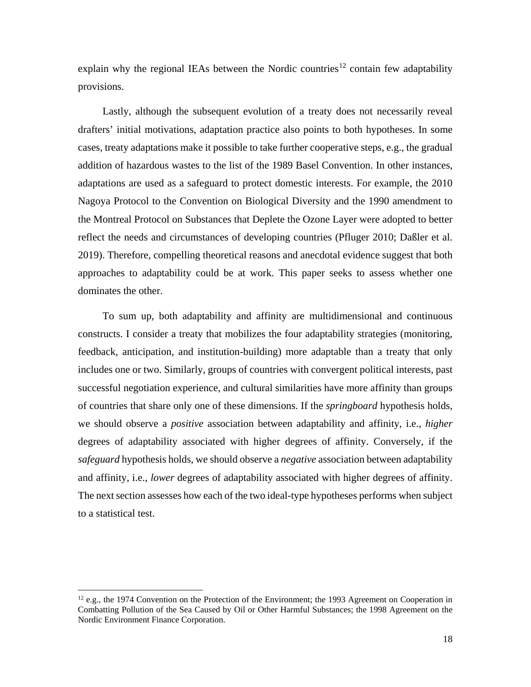explain why the regional IEAs between the Nordic countries<sup>[12](#page-17-0)</sup> contain few adaptability provisions.

Lastly, although the subsequent evolution of a treaty does not necessarily reveal drafters' initial motivations, adaptation practice also points to both hypotheses. In some cases, treaty adaptations make it possible to take further cooperative steps, e.g., the gradual addition of hazardous wastes to the list of the 1989 Basel Convention. In other instances, adaptations are used as a safeguard to protect domestic interests. For example, the 2010 Nagoya Protocol to the Convention on Biological Diversity and the 1990 amendment to the Montreal Protocol on Substances that Deplete the Ozone Layer were adopted to better reflect the needs and circumstances of developing countries (Pfluger 2010; Daßler et al. 2019). Therefore, compelling theoretical reasons and anecdotal evidence suggest that both approaches to adaptability could be at work. This paper seeks to assess whether one dominates the other.

To sum up, both adaptability and affinity are multidimensional and continuous constructs. I consider a treaty that mobilizes the four adaptability strategies (monitoring, feedback, anticipation, and institution-building) more adaptable than a treaty that only includes one or two. Similarly, groups of countries with convergent political interests, past successful negotiation experience, and cultural similarities have more affinity than groups of countries that share only one of these dimensions. If the *springboard* hypothesis holds, we should observe a *positive* association between adaptability and affinity, i.e., *higher* degrees of adaptability associated with higher degrees of affinity. Conversely, if the *safeguard* hypothesis holds, we should observe a *negative* association between adaptability and affinity, i.e., *lower* degrees of adaptability associated with higher degrees of affinity. The next section assesses how each of the two ideal-type hypotheses performs when subject to a statistical test.

 $\overline{a}$ 

<span id="page-17-0"></span> $12$  e.g., the 1974 Convention on the Protection of the Environment; the 1993 Agreement on Cooperation in Combatting Pollution of the Sea Caused by Oil or Other Harmful Substances; the 1998 Agreement on the Nordic Environment Finance Corporation.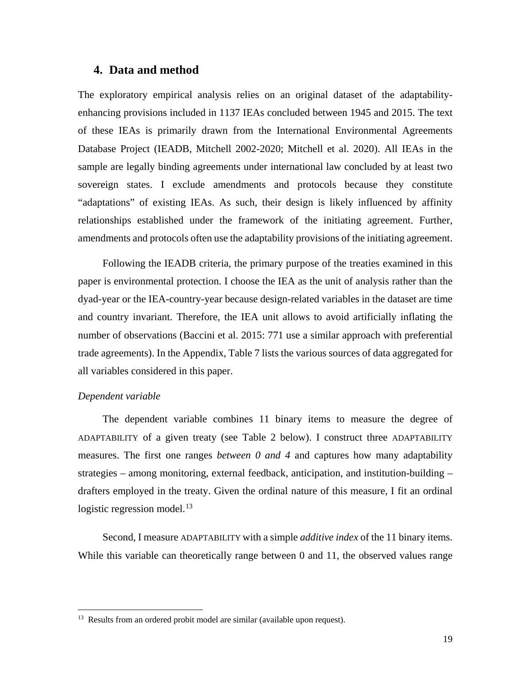# **4. Data and method**

The exploratory empirical analysis relies on an original dataset of the adaptabilityenhancing provisions included in 1137 IEAs concluded between 1945 and 2015. The text of these IEAs is primarily drawn from the International Environmental Agreements Database Project (IEADB, Mitchell 2002-2020; Mitchell et al. 2020). All IEAs in the sample are legally binding agreements under international law concluded by at least two sovereign states. I exclude amendments and protocols because they constitute "adaptations" of existing IEAs. As such, their design is likely influenced by affinity relationships established under the framework of the initiating agreement. Further, amendments and protocols often use the adaptability provisions of the initiating agreement.

Following the IEADB criteria, the primary purpose of the treaties examined in this paper is environmental protection. I choose the IEA as the unit of analysis rather than the dyad-year or the IEA-country-year because design-related variables in the dataset are time and country invariant. Therefore, the IEA unit allows to avoid artificially inflating the number of observations (Baccini et al. 2015: 771 use a similar approach with preferential trade agreements). In the Appendix, Table 7 lists the various sources of data aggregated for all variables considered in this paper.

### *Dependent variable*

l

The dependent variable combines 11 binary items to measure the degree of ADAPTABILITY of a given treaty (see Table 2 below). I construct three ADAPTABILITY measures. The first one ranges *between 0 and 4* and captures how many adaptability strategies – among monitoring, external feedback, anticipation, and institution-building – drafters employed in the treaty. Given the ordinal nature of this measure, I fit an ordinal logistic regression model.<sup>[13](#page-18-0)</sup>

Second, I measure ADAPTABILITY with a simple *additive index* of the 11 binary items. While this variable can theoretically range between 0 and 11, the observed values range

<span id="page-18-0"></span><sup>&</sup>lt;sup>13</sup> Results from an ordered probit model are similar (available upon request).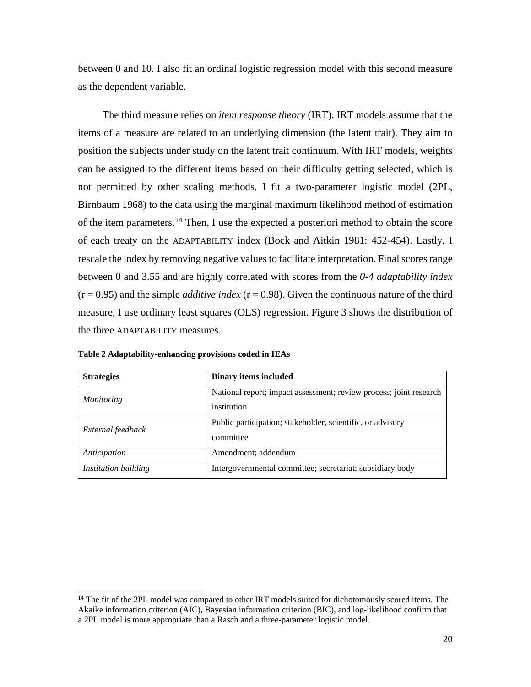between 0 and 10. I also fit an ordinal logistic regression model with this second measure as the dependent variable.

The third measure relies on *item response theory* (IRT). IRT models assume that the items of a measure are related to an underlying dimension (the latent trait). They aim to position the subjects under study on the latent trait continuum. With IRT models, weights can be assigned to the different items based on their difficulty getting selected, which is not permitted by other scaling methods. I fit a two-parameter logistic model (2PL, Birnbaum 1968) to the data using the marginal maximum likelihood method of estimation of the item parameters.<sup>[14](#page-19-0)</sup> Then, I use the expected a posteriori method to obtain the score of each treaty on the ADAPTABILITY index (Bock and Aitkin 1981: 452-454). Lastly, I rescale the index by removing negative values to facilitate interpretation. Final scores range between 0 and 3.55 and are highly correlated with scores from the *0-4 adaptability index*  $(r = 0.95)$  and the simple *additive index*  $(r = 0.98)$ . Given the continuous nature of the third measure, I use ordinary least squares (OLS) regression. Figure 3 shows the distribution of the three ADAPTABILITY measures.

| <b>Strategies</b>    | <b>Binary items included</b>                                                      |
|----------------------|-----------------------------------------------------------------------------------|
| <i>Monitoring</i>    | National report; impact assessment; review process; joint research<br>institution |
| External feedback    | Public participation; stakeholder, scientific, or advisory<br>committee           |
| Anticipation         | Amendment; addendum                                                               |
| Institution building | Intergovernmental committee; secretariat; subsidiary body                         |

**Table 2 Adaptability-enhancing provisions coded in IEAs**

 $\overline{a}$ 

<span id="page-19-0"></span><sup>&</sup>lt;sup>14</sup> The fit of the 2PL model was compared to other IRT models suited for dichotomously scored items. The Akaike information criterion (AIC), Bayesian information criterion (BIC), and log-likelihood confirm that a 2PL model is more appropriate than a Rasch and a three-parameter logistic model.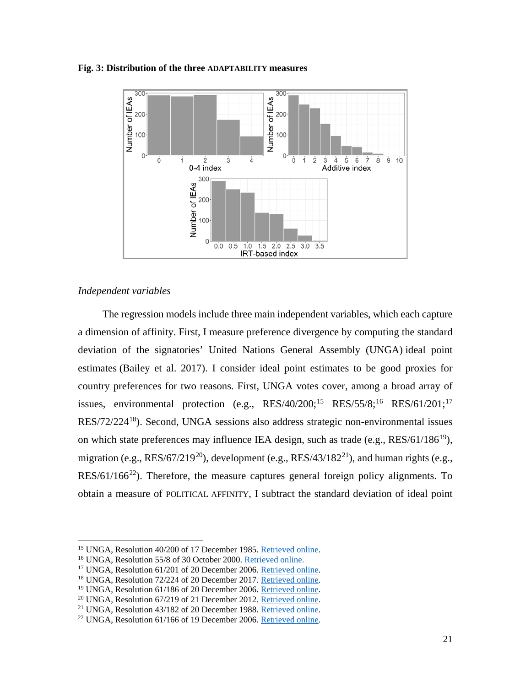#### **Fig. 3: Distribution of the three ADAPTABILITY measures**



### *Independent variables*

 $\overline{\phantom{a}}$ 

The regression models include three main independent variables, which each capture a dimension of affinity. First, I measure preference divergence by computing the standard deviation of the signatories' United Nations General Assembly (UNGA) ideal point estimates (Bailey et al. 2017). I consider ideal point estimates to be good proxies for country preferences for two reasons. First, UNGA votes cover, among a broad array of issues, environmental protection (e.g.,  $RES/40/200;^{15}$  $RES/40/200;^{15}$  $RES/40/200;^{15}$   $RES/55/8;^{16}$  $RES/55/8;^{16}$  $RES/55/8;^{16}$   $RES/61/201;^{17}$  $RES/61/201;^{17}$  $RES/61/201;^{17}$ RES/72/224[18](#page-20-3)). Second, UNGA sessions also address strategic non-environmental issues on which state preferences may influence IEA design, such as trade (e.g.,  $RES/61/186^{19}$  $RES/61/186^{19}$  $RES/61/186^{19}$ ), migration (e.g.,  $RES/67/219^{20}$  $RES/67/219^{20}$  $RES/67/219^{20}$ ), development (e.g.,  $RES/43/182^{21}$ ), and human rights (e.g.,  $RES/61/166^{22}$  $RES/61/166^{22}$  $RES/61/166^{22}$ ). Therefore, the measure captures general foreign policy alignments. To obtain a measure of POLITICAL AFFINITY, I subtract the standard deviation of ideal point

<span id="page-20-0"></span><sup>&</sup>lt;sup>15</sup> UNGA, Resolution 40/200 of 17 December 1985. <u>Retrieved online</u>.<br><sup>16</sup> UNGA, Resolution 55/8 of 30 October 2000. [Retrieved online.](https://undocs.org/en/A/RES/55/8)

<span id="page-20-1"></span>

<span id="page-20-2"></span><sup>&</sup>lt;sup>17</sup> UNGA, Resolution 61/201 of 20 December 2006. [Retrieved online.](https://undocs.org/en/A/RES/61/201)

<span id="page-20-3"></span><sup>18</sup> UNGA, Resolution 72/224 of 20 December 2017. [Retrieved online.](https://undocs.org/en/A/RES/72/224)

<span id="page-20-4"></span><sup>19</sup> UNGA, Resolution 61/186 of 20 December 2006. [Retrieved online.](https://undocs.org/en/A/RES/61/186)

<span id="page-20-5"></span><sup>20</sup> UNGA, Resolution 67/219 of 21 December 2012. [Retrieved online.](https://undocs.org/en/A/RES/67/219)

<span id="page-20-6"></span><sup>21</sup> UNGA, Resolution 43/182 of 20 December 1988. [Retrieved online.](https://undocs.org/en/A/RES/43/182)

<span id="page-20-7"></span><sup>22</sup> UNGA, Resolution 61/166 of 19 December 2006. [Retrieved online.](https://undocs.org/en/A/RES/61/166)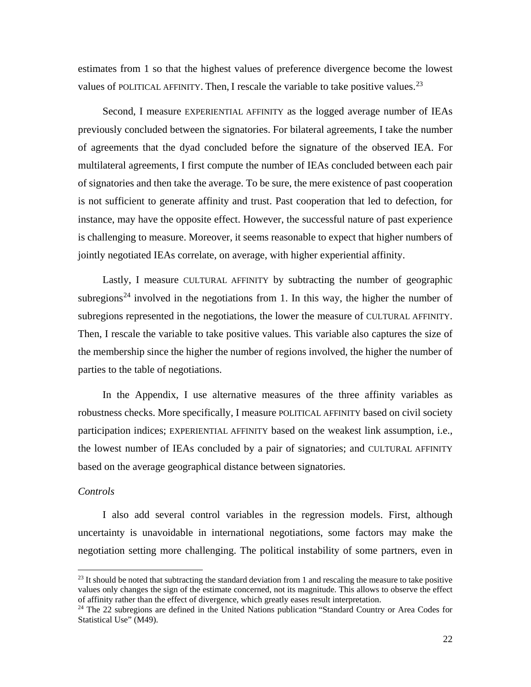estimates from 1 so that the highest values of preference divergence become the lowest values of POLITICAL AFFINITY. Then, I rescale the variable to take positive values.<sup>[23](#page-21-0)</sup>

Second, I measure EXPERIENTIAL AFFINITY as the logged average number of IEAs previously concluded between the signatories. For bilateral agreements, I take the number of agreements that the dyad concluded before the signature of the observed IEA. For multilateral agreements, I first compute the number of IEAs concluded between each pair of signatories and then take the average. To be sure, the mere existence of past cooperation is not sufficient to generate affinity and trust. Past cooperation that led to defection, for instance, may have the opposite effect. However, the successful nature of past experience is challenging to measure. Moreover, it seems reasonable to expect that higher numbers of jointly negotiated IEAs correlate, on average, with higher experiential affinity.

Lastly, I measure CULTURAL AFFINITY by subtracting the number of geographic subregions<sup>[24](#page-21-1)</sup> involved in the negotiations from 1. In this way, the higher the number of subregions represented in the negotiations, the lower the measure of CULTURAL AFFINITY. Then, I rescale the variable to take positive values. This variable also captures the size of the membership since the higher the number of regions involved, the higher the number of parties to the table of negotiations.

In the Appendix, I use alternative measures of the three affinity variables as robustness checks. More specifically, I measure POLITICAL AFFINITY based on civil society participation indices; EXPERIENTIAL AFFINITY based on the weakest link assumption, i.e., the lowest number of IEAs concluded by a pair of signatories; and CULTURAL AFFINITY based on the average geographical distance between signatories.

### *Controls*

 $\overline{\phantom{a}}$ 

I also add several control variables in the regression models. First, although uncertainty is unavoidable in international negotiations, some factors may make the negotiation setting more challenging. The political instability of some partners, even in

<span id="page-21-0"></span> $^{23}$  It should be noted that subtracting the standard deviation from 1 and rescaling the measure to take positive values only changes the sign of the estimate concerned, not its magnitude. This allows to observe the effect of affinity rather than the effect of divergence, which greatly eases result interpretation.

<span id="page-21-1"></span> $24$  The 22 subregions are defined in the United Nations publication "Standard Country or Area Codes for Statistical Use" (M49).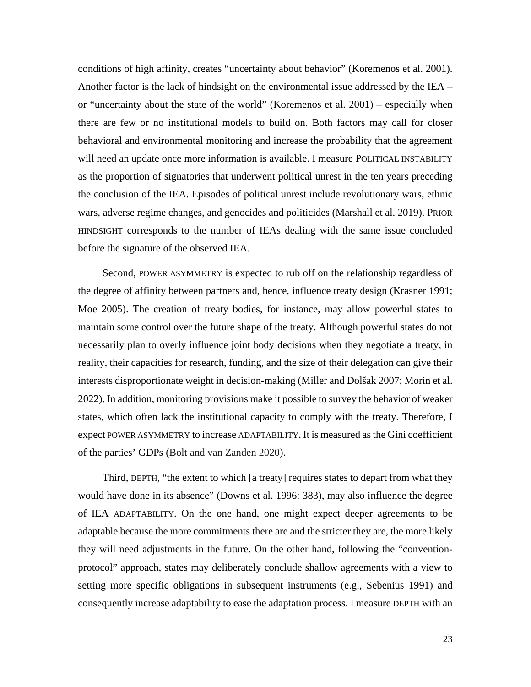conditions of high affinity, creates "uncertainty about behavior" (Koremenos et al. 2001). Another factor is the lack of hindsight on the environmental issue addressed by the IEA – or "uncertainty about the state of the world" (Koremenos et al. 2001) – especially when there are few or no institutional models to build on. Both factors may call for closer behavioral and environmental monitoring and increase the probability that the agreement will need an update once more information is available. I measure POLITICAL INSTABILITY as the proportion of signatories that underwent political unrest in the ten years preceding the conclusion of the IEA. Episodes of political unrest include revolutionary wars, ethnic wars, adverse regime changes, and genocides and politicides (Marshall et al. 2019). PRIOR HINDSIGHT corresponds to the number of IEAs dealing with the same issue concluded before the signature of the observed IEA.

Second, POWER ASYMMETRY is expected to rub off on the relationship regardless of the degree of affinity between partners and, hence, influence treaty design (Krasner 1991; Moe 2005). The creation of treaty bodies, for instance, may allow powerful states to maintain some control over the future shape of the treaty. Although powerful states do not necessarily plan to overly influence joint body decisions when they negotiate a treaty, in reality, their capacities for research, funding, and the size of their delegation can give their interests disproportionate weight in decision-making (Miller and Dolšak 2007; Morin et al. 2022). In addition, monitoring provisions make it possible to survey the behavior of weaker states, which often lack the institutional capacity to comply with the treaty. Therefore, I expect POWER ASYMMETRY to increase ADAPTABILITY. It is measured as the Gini coefficient of the parties' GDPs (Bolt and van Zanden 2020).

Third, DEPTH, "the extent to which [a treaty] requires states to depart from what they would have done in its absence" (Downs et al. 1996: 383), may also influence the degree of IEA ADAPTABILITY. On the one hand, one might expect deeper agreements to be adaptable because the more commitments there are and the stricter they are, the more likely they will need adjustments in the future. On the other hand, following the "conventionprotocol" approach, states may deliberately conclude shallow agreements with a view to setting more specific obligations in subsequent instruments (e.g., Sebenius 1991) and consequently increase adaptability to ease the adaptation process. I measure DEPTH with an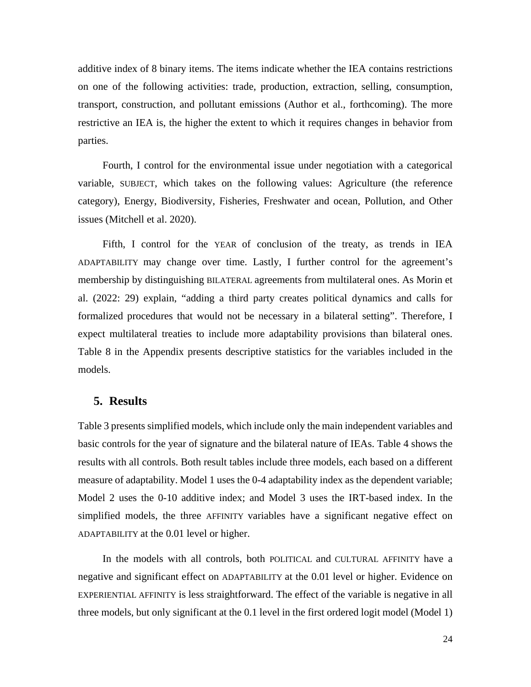additive index of 8 binary items. The items indicate whether the IEA contains restrictions on one of the following activities: trade, production, extraction, selling, consumption, transport, construction, and pollutant emissions (Author et al., forthcoming). The more restrictive an IEA is, the higher the extent to which it requires changes in behavior from parties.

Fourth, I control for the environmental issue under negotiation with a categorical variable, SUBJECT, which takes on the following values: Agriculture (the reference category), Energy, Biodiversity, Fisheries, Freshwater and ocean, Pollution, and Other issues (Mitchell et al. 2020).

Fifth, I control for the YEAR of conclusion of the treaty, as trends in IEA ADAPTABILITY may change over time. Lastly, I further control for the agreement's membership by distinguishing BILATERAL agreements from multilateral ones. As Morin et al. (2022: 29) explain, "adding a third party creates political dynamics and calls for formalized procedures that would not be necessary in a bilateral setting". Therefore, I expect multilateral treaties to include more adaptability provisions than bilateral ones. Table 8 in the Appendix presents descriptive statistics for the variables included in the models.

## **5. Results**

Table 3 presents simplified models, which include only the main independent variables and basic controls for the year of signature and the bilateral nature of IEAs. Table 4 shows the results with all controls. Both result tables include three models, each based on a different measure of adaptability. Model 1 uses the 0-4 adaptability index as the dependent variable; Model 2 uses the 0-10 additive index; and Model 3 uses the IRT-based index. In the simplified models, the three AFFINITY variables have a significant negative effect on ADAPTABILITY at the 0.01 level or higher.

In the models with all controls, both POLITICAL and CULTURAL AFFINITY have a negative and significant effect on ADAPTABILITY at the 0.01 level or higher. Evidence on EXPERIENTIAL AFFINITY is less straightforward. The effect of the variable is negative in all three models, but only significant at the 0.1 level in the first ordered logit model (Model 1)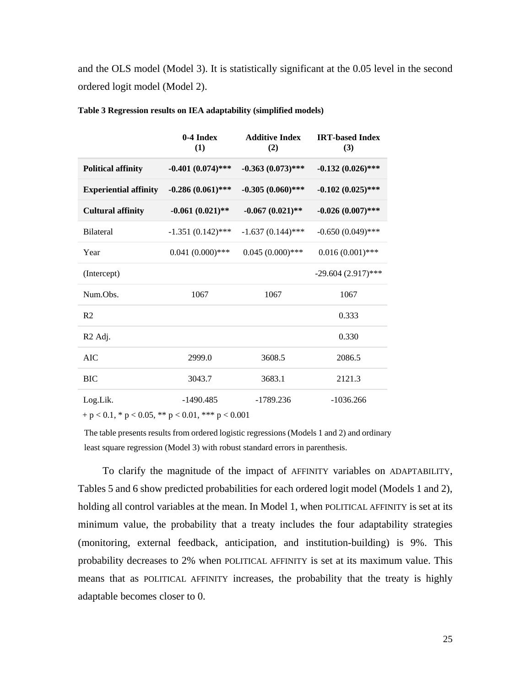and the OLS model (Model 3). It is statistically significant at the 0.05 level in the second ordered logit model (Model 2).

|                              | $0-4$ Index<br>(1)  | <b>Additive Index</b><br>(2) | <b>IRT-based Index</b><br>(3) |
|------------------------------|---------------------|------------------------------|-------------------------------|
| <b>Political affinity</b>    | $-0.401(0.074)$ *** | $-0.363(0.073)$ ***          | $-0.132(0.026)$ ***           |
| <b>Experiential affinity</b> | $-0.286(0.061)$ *** | $-0.305(0.060)$ ***          | $-0.102(0.025)$ ***           |
| <b>Cultural affinity</b>     | $-0.061(0.021)$ **  | $-0.067(0.021)$ **           | $-0.026(0.007)$ ***           |
| <b>Bilateral</b>             | $-1.351(0.142)$ *** | $-1.637(0.144)$ ***          | $-0.650(0.049)$ ***           |
| Year                         | $0.041(0.000)$ ***  | $0.045(0.000)$ ***           | $0.016(0.001)$ ***            |
| (Intercept)                  |                     |                              | $-29.604(2.917)$ ***          |
| Num.Obs.                     | 1067                | 1067                         | 1067                          |
| R <sub>2</sub>               |                     |                              | 0.333                         |
| R <sub>2</sub> Adj.          |                     |                              | 0.330                         |
| <b>AIC</b>                   | 2999.0              | 3608.5                       | 2086.5                        |
| <b>BIC</b>                   | 3043.7              | 3683.1                       | 2121.3                        |
| Log.Lik.                     | $-1490.485$         | $-1789.236$                  | $-1036.266$                   |

**Table 3 Regression results on IEA adaptability (simplified models)**

 $+p < 0.1$ , \*  $p < 0.05$ , \*\*  $p < 0.01$ , \*\*\*  $p < 0.001$ 

The table presents results from ordered logistic regressions (Models 1 and 2) and ordinary least square regression (Model 3) with robust standard errors in parenthesis.

To clarify the magnitude of the impact of AFFINITY variables on ADAPTABILITY, Tables 5 and 6 show predicted probabilities for each ordered logit model (Models 1 and 2), holding all control variables at the mean. In Model 1, when POLITICAL AFFINITY is set at its minimum value, the probability that a treaty includes the four adaptability strategies (monitoring, external feedback, anticipation, and institution-building) is 9%. This probability decreases to 2% when POLITICAL AFFINITY is set at its maximum value. This means that as POLITICAL AFFINITY increases, the probability that the treaty is highly adaptable becomes closer to 0.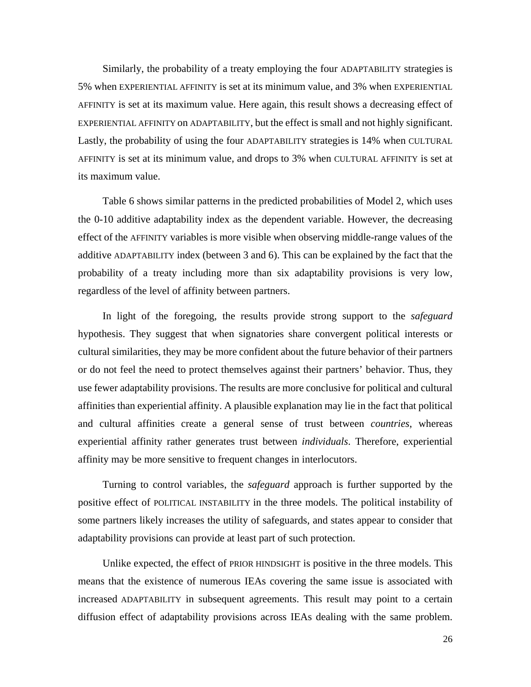Similarly, the probability of a treaty employing the four ADAPTABILITY strategies is 5% when EXPERIENTIAL AFFINITY is set at its minimum value, and 3% when EXPERIENTIAL AFFINITY is set at its maximum value. Here again, this result shows a decreasing effect of EXPERIENTIAL AFFINITY on ADAPTABILITY, but the effect is small and not highly significant. Lastly, the probability of using the four ADAPTABILITY strategies is 14% when CULTURAL AFFINITY is set at its minimum value, and drops to 3% when CULTURAL AFFINITY is set at its maximum value.

Table 6 shows similar patterns in the predicted probabilities of Model 2, which uses the 0-10 additive adaptability index as the dependent variable. However, the decreasing effect of the AFFINITY variables is more visible when observing middle-range values of the additive ADAPTABILITY index (between 3 and 6). This can be explained by the fact that the probability of a treaty including more than six adaptability provisions is very low, regardless of the level of affinity between partners.

In light of the foregoing, the results provide strong support to the *safeguard* hypothesis. They suggest that when signatories share convergent political interests or cultural similarities, they may be more confident about the future behavior of their partners or do not feel the need to protect themselves against their partners' behavior. Thus, they use fewer adaptability provisions. The results are more conclusive for political and cultural affinities than experiential affinity. A plausible explanation may lie in the fact that political and cultural affinities create a general sense of trust between *countries*, whereas experiential affinity rather generates trust between *individuals*. Therefore, experiential affinity may be more sensitive to frequent changes in interlocutors.

Turning to control variables, the *safeguard* approach is further supported by the positive effect of POLITICAL INSTABILITY in the three models. The political instability of some partners likely increases the utility of safeguards, and states appear to consider that adaptability provisions can provide at least part of such protection.

Unlike expected, the effect of PRIOR HINDSIGHT is positive in the three models. This means that the existence of numerous IEAs covering the same issue is associated with increased ADAPTABILITY in subsequent agreements. This result may point to a certain diffusion effect of adaptability provisions across IEAs dealing with the same problem.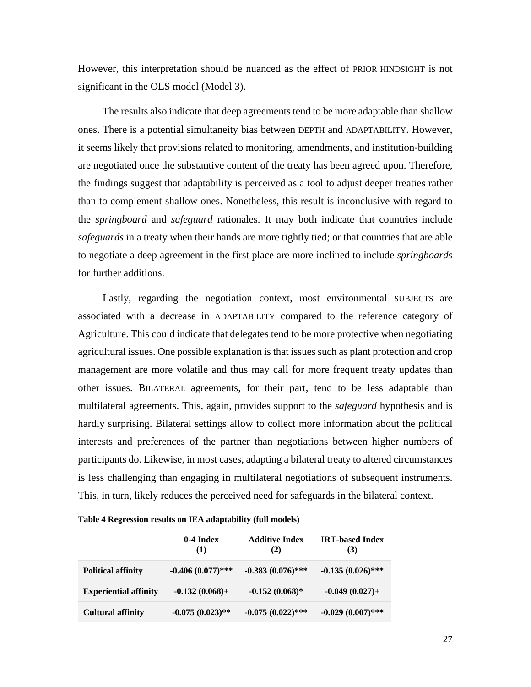However, this interpretation should be nuanced as the effect of PRIOR HINDSIGHT is not significant in the OLS model (Model 3).

The results also indicate that deep agreements tend to be more adaptable than shallow ones. There is a potential simultaneity bias between DEPTH and ADAPTABILITY. However, it seems likely that provisions related to monitoring, amendments, and institution-building are negotiated once the substantive content of the treaty has been agreed upon. Therefore, the findings suggest that adaptability is perceived as a tool to adjust deeper treaties rather than to complement shallow ones. Nonetheless, this result is inconclusive with regard to the *springboard* and *safeguard* rationales. It may both indicate that countries include *safeguards* in a treaty when their hands are more tightly tied; or that countries that are able to negotiate a deep agreement in the first place are more inclined to include *springboards* for further additions.

Lastly, regarding the negotiation context, most environmental SUBJECTS are associated with a decrease in ADAPTABILITY compared to the reference category of Agriculture. This could indicate that delegates tend to be more protective when negotiating agricultural issues. One possible explanation is that issues such as plant protection and crop management are more volatile and thus may call for more frequent treaty updates than other issues. BILATERAL agreements, for their part, tend to be less adaptable than multilateral agreements. This, again, provides support to the *safeguard* hypothesis and is hardly surprising. Bilateral settings allow to collect more information about the political interests and preferences of the partner than negotiations between higher numbers of participants do. Likewise, in most cases, adapting a bilateral treaty to altered circumstances is less challenging than engaging in multilateral negotiations of subsequent instruments. This, in turn, likely reduces the perceived need for safeguards in the bilateral context.

#### **Table 4 Regression results on IEA adaptability (full models)**

|                              | 0-4 Index<br>(1)    | <b>Additive Index</b><br>(2) | <b>IRT-based Index</b><br>(3) |
|------------------------------|---------------------|------------------------------|-------------------------------|
| <b>Political affinity</b>    | $-0.406(0.077)$ *** | $-0.383(0.076)$ ***          | $-0.135(0.026)$ ***           |
| <b>Experiential affinity</b> | $-0.132(0.068) +$   | $-0.152(0.068)$ *            | $-0.049(0.027) +$             |
| <b>Cultural affinity</b>     | $-0.075(0.023)$ **  | $-0.075(0.022)$ ***          | $-0.029(0.007)$ ***           |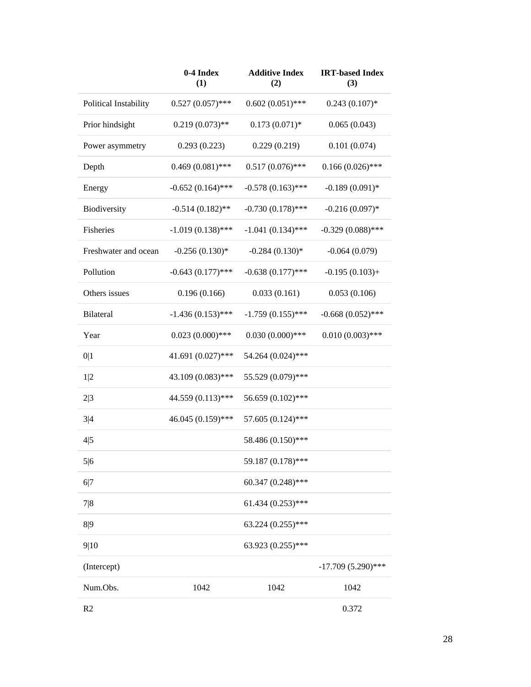|                       | 0-4 Index<br>(1)    | <b>Additive Index</b><br>(2) | <b>IRT-based Index</b><br>(3) |
|-----------------------|---------------------|------------------------------|-------------------------------|
| Political Instability | $0.527(0.057)$ ***  | $0.602(0.051)$ ***           | $0.243(0.107)*$               |
| Prior hindsight       | $0.219(0.073)$ **   | $0.173(0.071)*$              | 0.065(0.043)                  |
| Power asymmetry       | 0.293(0.223)        | 0.229(0.219)                 | 0.101(0.074)                  |
| Depth                 | $0.469(0.081)$ ***  | $0.517(0.076)$ ***           | $0.166(0.026)$ ***            |
| Energy                | $-0.652(0.164)$ *** | $-0.578(0.163)$ ***          | $-0.189(0.091)$ *             |
| Biodiversity          | $-0.514(0.182)$ **  | $-0.730(0.178)$ ***          | $-0.216(0.097)$ *             |
| Fisheries             | $-1.019(0.138)$ *** | $-1.041(0.134)$ ***          | $-0.329(0.088)$ ***           |
| Freshwater and ocean  | $-0.256(0.130)*$    | $-0.284(0.130)*$             | $-0.064(0.079)$               |
| Pollution             | $-0.643(0.177)$ *** | $-0.638(0.177)$ ***          | $-0.195(0.103) +$             |
| Others issues         | 0.196(0.166)        | 0.033(0.161)                 | 0.053(0.106)                  |
| Bilateral             | $-1.436(0.153)$ *** | $-1.759(0.155)$ ***          | $-0.668(0.052)$ ***           |
| Year                  | $0.023(0.000)$ ***  | $0.030(0.000)$ ***           | $0.010(0.003)$ ***            |
| 0 1                   | 41.691 (0.027)***   | 54.264 (0.024)***            |                               |
| 1 2                   | 43.109 (0.083)***   | 55.529 (0.079)***            |                               |
| 2 3                   | 44.559 (0.113)***   | 56.659 (0.102)***            |                               |
| 3 4                   | 46.045 (0.159)***   | 57.605 (0.124)***            |                               |
| 4 5                   |                     | 58.486 (0.150)***            |                               |
| 5 6                   |                     | 59.187 (0.178)***            |                               |
| 6 7                   |                     | 60.347 (0.248)***            |                               |
| 7 8                   |                     | $61.434(0.253)$ ***          |                               |
| 8 9                   |                     | $63.224(0.255)$ ***          |                               |
| 9 10                  |                     | 63.923 (0.255)***            |                               |
| (Intercept)           |                     |                              | $-17.709(5.290)$ ***          |
| Num.Obs.              | 1042                | 1042                         | 1042                          |
| R <sub>2</sub>        |                     |                              | 0.372                         |

28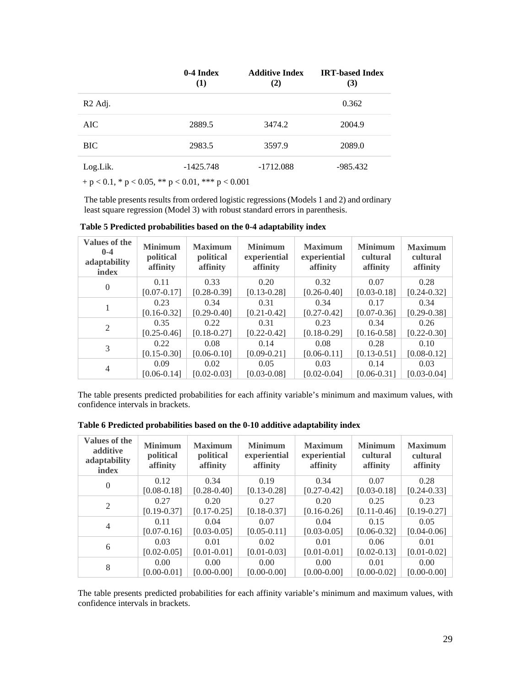|                                                              | $0-4$ Index<br>(1) | <b>Additive Index</b><br>(2) | <b>IRT-based Index</b><br>(3) |
|--------------------------------------------------------------|--------------------|------------------------------|-------------------------------|
| R <sub>2</sub> Adj.                                          |                    |                              | 0.362                         |
| AIC-                                                         | 2889.5             | 3474.2                       | 2004.9                        |
| <b>BIC</b>                                                   | 2983.5             | 3597.9                       | 2089.0                        |
| Log.Lik.                                                     | $-1425.748$        | $-1712.088$                  | -985.432                      |
| + $p < 0.1$ , * $p < 0.05$ , ** $p < 0.01$ , *** $p < 0.001$ |                    |                              |                               |

The table presents results from ordered logistic regressions (Models 1 and 2) and ordinary least square regression (Model 3) with robust standard errors in parenthesis.

| <b>Values of the</b><br>$0 - 4$<br>adaptability<br>index | <b>Minimum</b><br>political<br>affinity | <b>Maximum</b><br>political<br>affinity | <b>Minimum</b><br>experiential<br>affinity | <b>Maximum</b><br>experiential<br>affinity | <b>Minimum</b><br>cultural<br>affinity | <b>Maximum</b><br>cultural<br>affinity |
|----------------------------------------------------------|-----------------------------------------|-----------------------------------------|--------------------------------------------|--------------------------------------------|----------------------------------------|----------------------------------------|
| $\Omega$                                                 | 0.11                                    | 0.33                                    | 0.20                                       | 0.32                                       | 0.07                                   | 0.28                                   |
|                                                          | $[0.07 - 0.17]$                         | $[0.28 - 0.39]$                         | $[0.13 - 0.28]$                            | $[0.26 - 0.40]$                            | $[0.03 - 0.18]$                        | $[0.24 - 0.32]$                        |
| 1                                                        | 0.23                                    | 0.34                                    | 0.31                                       | 0.34                                       | 0.17                                   | 0.34                                   |
|                                                          | $[0.16 - 0.32]$                         | $[0.29 - 0.40]$                         | $[0.21 - 0.42]$                            | $[0.27 - 0.42]$                            | $[0.07 - 0.36]$                        | $[0.29 - 0.38]$                        |
| 2                                                        | 0.35                                    | 0.22                                    | 0.31                                       | 0.23                                       | 0.34                                   | 0.26                                   |
|                                                          | $[0.25 - 0.46]$                         | $[0.18 - 0.27]$                         | $[0.22 - 0.42]$                            | $[0.18 - 0.29]$                            | $[0.16 - 0.58]$                        | $[0.22 - 0.30]$                        |
| 3                                                        | 0.22                                    | 0.08                                    | 0.14                                       | 0.08                                       | 0.28                                   | 0.10                                   |
|                                                          | $[0.15 - 0.30]$                         | $[0.06 - 0.10]$                         | $[0.09 - 0.21]$                            | $[0.06 - 0.11]$                            | $[0.13 - 0.51]$                        | $[0.08 - 0.12]$                        |
| $\overline{4}$                                           | 0.09                                    | 0.02                                    | 0.05                                       | 0.03                                       | 0.14                                   | 0.03                                   |
|                                                          | $[0.06 - 0.14]$                         | $[0.02 - 0.03]$                         | $[0.03 - 0.08]$                            | $[0.02 - 0.04]$                            | $[0.06 - 0.31]$                        | $[0.03 - 0.04]$                        |

**Table 5 Predicted probabilities based on the 0-4 adaptability index** 

The table presents predicted probabilities for each affinity variable's minimum and maximum values, with confidence intervals in brackets.

| Values of the<br>additive<br>adaptability<br>index | <b>Minimum</b><br>political<br>affinity | <b>Maximum</b><br>political<br>affinity | <b>Minimum</b><br>experiential<br>affinity | <b>Maximum</b><br>experiential<br>affinity | <b>Minimum</b><br>cultural<br>affinity | <b>Maximum</b><br>cultural<br>affinity |
|----------------------------------------------------|-----------------------------------------|-----------------------------------------|--------------------------------------------|--------------------------------------------|----------------------------------------|----------------------------------------|
| $\Omega$                                           | 0.12                                    | 0.34                                    | 0.19                                       | 0.34                                       | 0.07                                   | 0.28                                   |
|                                                    | $[0.08 - 0.18]$                         | $[0.28 - 0.40]$                         | $[0.13 - 0.28]$                            | $[0.27 - 0.42]$                            | $[0.03 - 0.18]$                        | $[0.24 - 0.33]$                        |
| 2                                                  | 0.27                                    | 0.20                                    | 0.27                                       | 0.20                                       | 0.25                                   | 0.23                                   |
|                                                    | $[0.19 - 0.37]$                         | $[0.17 - 0.25]$                         | $[0.18 - 0.37]$                            | $[0.16 - 0.26]$                            | $[0.11 - 0.46]$                        | $[0.19 - 0.27]$                        |
|                                                    | 0.11                                    | 0.04                                    | 0.07                                       | 0.04                                       | 0.15                                   | 0.05                                   |
| $\overline{4}$                                     | $[0.07 - 0.16]$                         | $[0.03 - 0.05]$                         | $[0.05 - 0.11]$                            | $[0.03 - 0.05]$                            | $[0.06 - 0.32]$                        | $[0.04 - 0.06]$                        |
|                                                    | 0.03                                    | 0.01                                    | 0.02                                       | 0.01                                       | 0.06                                   | 0.01                                   |
| 6                                                  | $[0.02 - 0.05]$                         | $[0.01 - 0.01]$                         | $[0.01 - 0.03]$                            | $[0.01 - 0.01]$                            | $[0.02 - 0.13]$                        | $[0.01 - 0.02]$                        |
|                                                    | 0.00                                    | $0.00^{\circ}$                          | 0.00                                       | 0.00                                       | 0.01                                   | 0.00                                   |
| 8                                                  | $[0.00 - 0.01]$                         | $[0.00 - 0.00]$                         | $[0.00 - 0.00]$                            | $[0.00 - 0.00]$                            | $[0.00 - 0.02]$                        | $[0.00 - 0.00]$                        |

**Table 6 Predicted probabilities based on the 0-10 additive adaptability index**

The table presents predicted probabilities for each affinity variable's minimum and maximum values, with confidence intervals in brackets.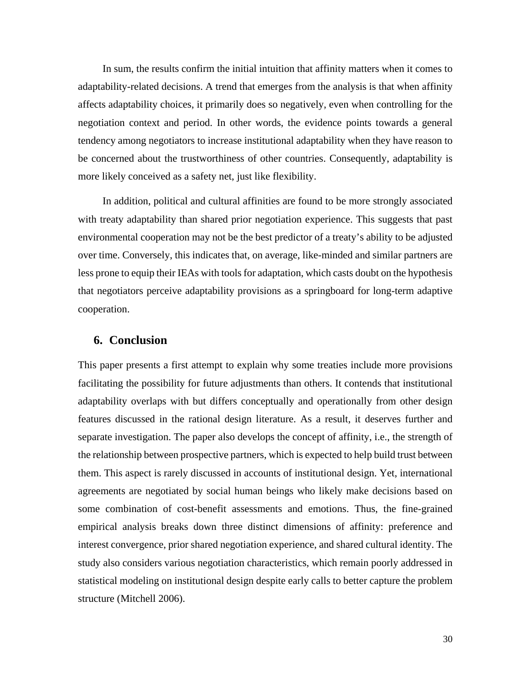In sum, the results confirm the initial intuition that affinity matters when it comes to adaptability-related decisions. A trend that emerges from the analysis is that when affinity affects adaptability choices, it primarily does so negatively, even when controlling for the negotiation context and period. In other words, the evidence points towards a general tendency among negotiators to increase institutional adaptability when they have reason to be concerned about the trustworthiness of other countries. Consequently, adaptability is more likely conceived as a safety net, just like flexibility.

In addition, political and cultural affinities are found to be more strongly associated with treaty adaptability than shared prior negotiation experience. This suggests that past environmental cooperation may not be the best predictor of a treaty's ability to be adjusted over time. Conversely, this indicates that, on average, like-minded and similar partners are less prone to equip their IEAs with tools for adaptation, which casts doubt on the hypothesis that negotiators perceive adaptability provisions as a springboard for long-term adaptive cooperation.

# **6. Conclusion**

This paper presents a first attempt to explain why some treaties include more provisions facilitating the possibility for future adjustments than others. It contends that institutional adaptability overlaps with but differs conceptually and operationally from other design features discussed in the rational design literature. As a result, it deserves further and separate investigation. The paper also develops the concept of affinity, i.e., the strength of the relationship between prospective partners, which is expected to help build trust between them. This aspect is rarely discussed in accounts of institutional design. Yet, international agreements are negotiated by social human beings who likely make decisions based on some combination of cost-benefit assessments and emotions. Thus, the fine-grained empirical analysis breaks down three distinct dimensions of affinity: preference and interest convergence, prior shared negotiation experience, and shared cultural identity. The study also considers various negotiation characteristics, which remain poorly addressed in statistical modeling on institutional design despite early calls to better capture the problem structure (Mitchell 2006).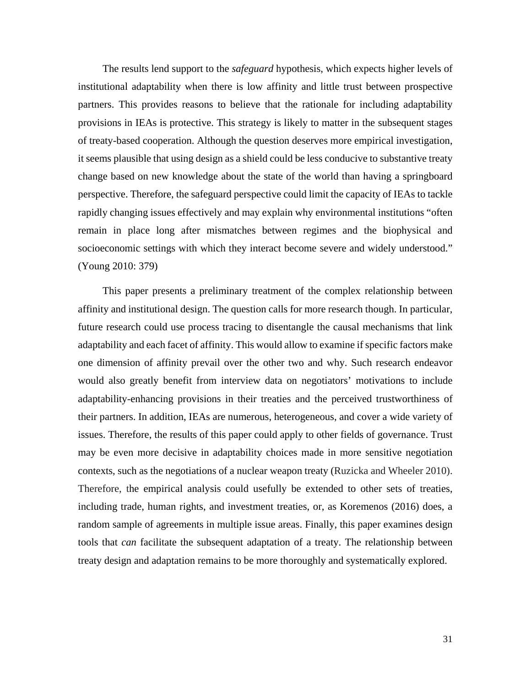The results lend support to the *safeguard* hypothesis, which expects higher levels of institutional adaptability when there is low affinity and little trust between prospective partners. This provides reasons to believe that the rationale for including adaptability provisions in IEAs is protective. This strategy is likely to matter in the subsequent stages of treaty-based cooperation. Although the question deserves more empirical investigation, it seems plausible that using design as a shield could be less conducive to substantive treaty change based on new knowledge about the state of the world than having a springboard perspective. Therefore, the safeguard perspective could limit the capacity of IEAs to tackle rapidly changing issues effectively and may explain why environmental institutions "often remain in place long after mismatches between regimes and the biophysical and socioeconomic settings with which they interact become severe and widely understood." (Young 2010: 379)

This paper presents a preliminary treatment of the complex relationship between affinity and institutional design. The question calls for more research though. In particular, future research could use process tracing to disentangle the causal mechanisms that link adaptability and each facet of affinity. This would allow to examine if specific factors make one dimension of affinity prevail over the other two and why. Such research endeavor would also greatly benefit from interview data on negotiators' motivations to include adaptability-enhancing provisions in their treaties and the perceived trustworthiness of their partners. In addition, IEAs are numerous, heterogeneous, and cover a wide variety of issues. Therefore, the results of this paper could apply to other fields of governance. Trust may be even more decisive in adaptability choices made in more sensitive negotiation contexts, such as the negotiations of a nuclear weapon treaty (Ruzicka and Wheeler 2010). Therefore, the empirical analysis could usefully be extended to other sets of treaties, including trade, human rights, and investment treaties, or, as Koremenos (2016) does, a random sample of agreements in multiple issue areas. Finally, this paper examines design tools that *can* facilitate the subsequent adaptation of a treaty. The relationship between treaty design and adaptation remains to be more thoroughly and systematically explored.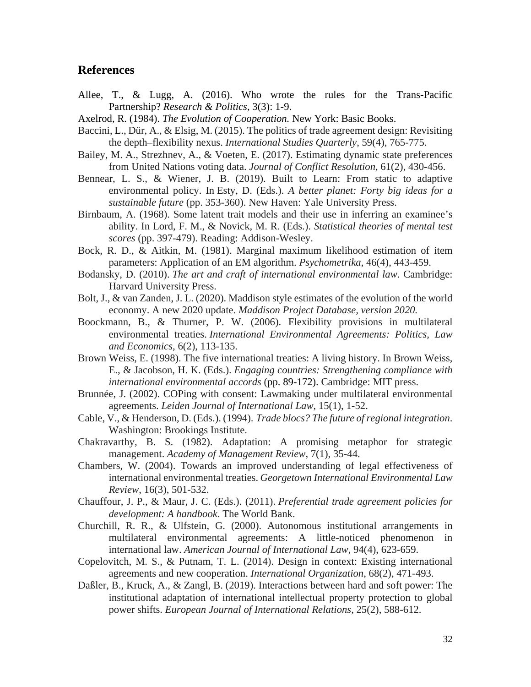# **References**

- Allee, T., & Lugg, A. (2016). Who wrote the rules for the Trans-Pacific Partnership? *Research & Politics*, 3(3): 1-9.
- Axelrod, R. (1984). *The Evolution of Cooperation.* New York: Basic Books.
- Baccini, L., Dür, A., & Elsig, M. (2015). The politics of trade agreement design: Revisiting the depth–flexibility nexus. *International Studies Quarterly*, 59(4), 765-775.
- Bailey, M. A., Strezhnev, A., & Voeten, E. (2017). Estimating dynamic state preferences from United Nations voting data. *Journal of Conflict Resolution*, 61(2), 430-456.
- Bennear, L. S., & Wiener, J. B. (2019). Built to Learn: From static to adaptive environmental policy. In Esty, D. (Eds.). *A better planet: Forty big ideas for a sustainable future* (pp. 353-360). New Haven: Yale University Press.
- Birnbaum, A. (1968). Some latent trait models and their use in inferring an examinee's ability. In Lord, F. M., & Novick, M. R. (Eds.). *Statistical theories of mental test scores* (pp. 397-479). Reading: Addison-Wesley.
- Bock, R. D., & Aitkin, M. (1981). Marginal maximum likelihood estimation of item parameters: Application of an EM algorithm. *Psychometrika*, 46(4), 443-459.
- Bodansky, D. (2010). *The art and craft of international environmental law*. Cambridge: Harvard University Press.
- Bolt, J., & van Zanden, J. L. (2020). Maddison style estimates of the evolution of the world economy. A new 2020 update. *Maddison Project Database, version 2020.*
- Boockmann, B., & Thurner, P. W. (2006). Flexibility provisions in multilateral environmental treaties. *International Environmental Agreements: Politics, Law and Economics*, 6(2), 113-135.
- Brown Weiss, E. (1998). The five international treaties: A living history. In Brown Weiss, E., & Jacobson, H. K. (Eds.). *Engaging countries: Strengthening compliance with international environmental accords* (pp. 89-172). Cambridge: MIT press.
- Brunnée, J. (2002). COPing with consent: Lawmaking under multilateral environmental agreements. *Leiden Journal of International Law*, 15(1), 1-52.
- Cable, V., & Henderson, D. (Eds.). (1994). *Trade blocs? The future of regional integration*. Washington: Brookings Institute.
- Chakravarthy, B. S. (1982). Adaptation: A promising metaphor for strategic management. *Academy of Management Review*, 7(1), 35-44.
- Chambers, W. (2004). Towards an improved understanding of legal effectiveness of international environmental treaties. *Georgetown International Environmental Law Review*, 16(3), 501-532.
- Chauffour, J. P., & Maur, J. C. (Eds.). (2011). *Preferential trade agreement policies for development: A handbook*. The World Bank.
- Churchill, R. R., & Ulfstein, G. (2000). Autonomous institutional arrangements in multilateral environmental agreements: A little-noticed phenomenon in international law. *American Journal of International Law*, 94(4), 623-659.
- Copelovitch, M. S., & Putnam, T. L. (2014). Design in context: Existing international agreements and new cooperation. *International Organization*, 68(2), 471-493.
- Daßler, B., Kruck, A., & Zangl, B. (2019). Interactions between hard and soft power: The institutional adaptation of international intellectual property protection to global power shifts. *European Journal of International Relations*, 25(2), 588-612.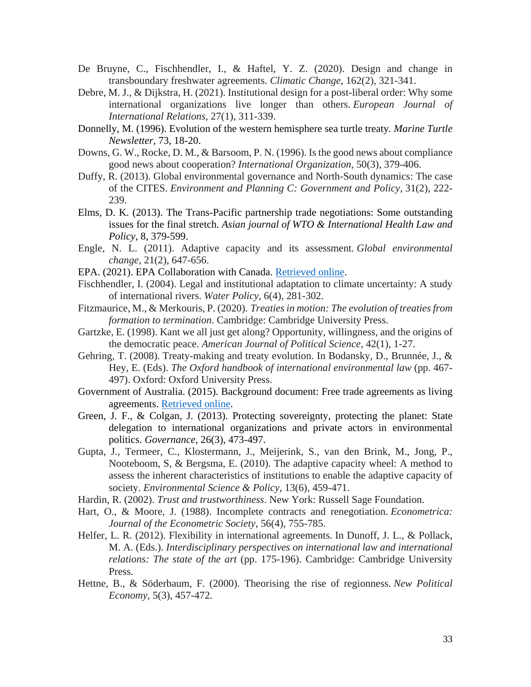- De Bruyne, C., Fischhendler, I., & Haftel, Y. Z. (2020). Design and change in transboundary freshwater agreements. *Climatic Change*, 162(2), 321-341.
- Debre, M. J., & Dijkstra, H. (2021). Institutional design for a post-liberal order: Why some international organizations live longer than others. *European Journal of International Relations*, 27(1), 311-339.
- Donnelly, M. (1996). Evolution of the western hemisphere sea turtle treaty*. Marine Turtle Newsletter,* 73, 18-20.
- Downs, G. W., Rocke, D. M., & Barsoom, P. N. (1996). Is the good news about compliance good news about cooperation? *International Organization*, 50(3), 379-406.
- Duffy, R. (2013). Global environmental governance and North-South dynamics: The case of the CITES. *Environment and Planning C: Government and Policy*, 31(2), 222- 239.
- Elms, D. K. (2013). The Trans-Pacific partnership trade negotiations: Some outstanding issues for the final stretch. *Asian journal of WTO & International Health Law and Policy*, 8, 379-599.
- Engle, N. L. (2011). Adaptive capacity and its assessment*. Global environmental change*, 21(2), 647-656.
- EPA. (2021). EPA Collaboration with Canada. [Retrieved online.](https://www.epa.gov/international-cooperation/epa-collaboration-canada)
- Fischhendler, I. (2004). Legal and institutional adaptation to climate uncertainty: A study of international rivers. *Water Policy*, 6(4), 281-302.
- Fitzmaurice, M., & Merkouris, P. (2020). *Treatiesin motion: The evolution of treaties from formation to termination*. Cambridge: Cambridge University Press.
- Gartzke, E. (1998). Kant we all just get along? Opportunity, willingness, and the origins of the democratic peace. *American Journal of Political Science*, 42(1), 1-27.
- Gehring, T. (2008). Treaty-making and treaty evolution. In Bodansky, D., Brunnée, J., & Hey, E. (Eds). *The Oxford handbook of international environmental law* (pp. 467- 497). Oxford: Oxford University Press.
- Government of Australia. (2015). Background document: Free trade agreements as living agreements. [Retrieved online.](https://www.dfat.gov.au/sites/default/files/background-papers-ftas-living-agreements.pdf)
- Green, J. F., & Colgan, J. (2013). Protecting sovereignty, protecting the planet: State delegation to international organizations and private actors in environmental politics. *Governance*, 26(3), 473-497.
- Gupta, J., Termeer, C., Klostermann, J., Meijerink, S., van den Brink, M., Jong, P., Nooteboom, S, & Bergsma, E. (2010). The adaptive capacity wheel: A method to assess the inherent characteristics of institutions to enable the adaptive capacity of society. *Environmental Science & Policy*, 13(6), 459-471.
- Hardin, R. (2002). *Trust and trustworthiness*. New York: Russell Sage Foundation.
- Hart, O., & Moore, J. (1988). Incomplete contracts and renegotiation. *Econometrica: Journal of the Econometric Society*, 56(4), 755-785.
- Helfer, L. R. (2012). Flexibility in international agreements. In Dunoff, J. L., & Pollack, M. A. (Eds.). *Interdisciplinary perspectives on international law and international relations: The state of the art* (pp. 175-196). Cambridge: Cambridge University Press.
- Hettne, B., & Söderbaum, F. (2000). Theorising the rise of regionness. *New Political Economy*, 5(3), 457-472.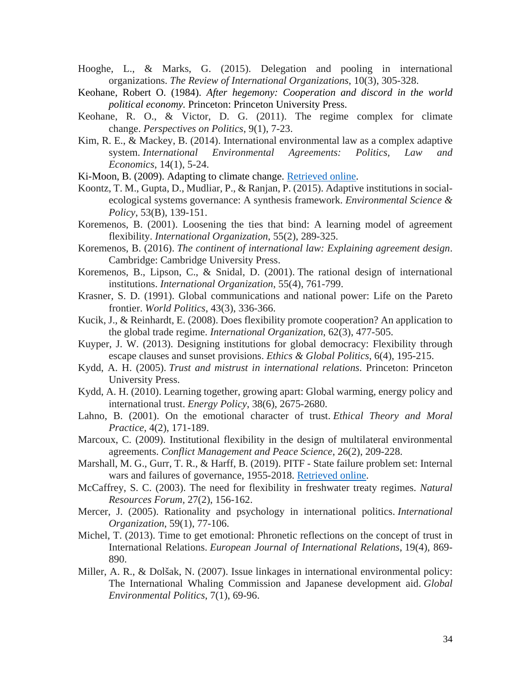- Hooghe, L., & Marks, G. (2015). Delegation and pooling in international organizations. *The Review of International Organizations*, 10(3), 305-328.
- Keohane, Robert O. (1984). *After hegemony: Cooperation and discord in the world political economy.* Princeton: Princeton University Press.
- Keohane, R. O., & Victor, D. G. (2011). The regime complex for climate change. *Perspectives on Politics*, 9(1), 7-23.
- Kim, R. E., & Mackey, B. (2014). International environmental law as a complex adaptive system. *International Environmental Agreements: Politics, Law and Economics*, 14(1), 5-24.
- Ki-Moon, B. (2009). Adapting to climate change. [Retrieved online.](https://www.un.org/sg/en/content/sg/speeches/2009-07-27/adapting-climate-change)
- Koontz, T. M., Gupta, D., Mudliar, P., & Ranjan, P. (2015). Adaptive institutions in socialecological systems governance: A synthesis framework. *Environmental Science & Policy*, 53(B), 139-151.
- Koremenos, B. (2001). Loosening the ties that bind: A learning model of agreement flexibility. *International Organization*, 55(2), 289-325.
- Koremenos, B. (2016). *The continent of international law: Explaining agreement design*. Cambridge: Cambridge University Press.
- Koremenos, B., Lipson, C., & Snidal, D. (2001). The rational design of international institutions. *International Organization*, 55(4), 761-799.
- Krasner, S. D. (1991). Global communications and national power: Life on the Pareto frontier. *World Politics*, 43(3), 336-366.
- Kucik, J., & Reinhardt, E. (2008). Does flexibility promote cooperation? An application to the global trade regime. *International Organization*, 62(3), 477-505.
- Kuyper, J. W. (2013). Designing institutions for global democracy: Flexibility through escape clauses and sunset provisions. *Ethics & Global Politics*, 6(4), 195-215.
- Kydd, A. H. (2005). *Trust and mistrust in international relations*. Princeton: Princeton University Press.
- Kydd, A. H. (2010). Learning together, growing apart: Global warming, energy policy and international trust. *Energy Policy*, 38(6), 2675-2680.
- Lahno, B. (2001). On the emotional character of trust. *Ethical Theory and Moral Practice*, 4(2), 171-189.
- Marcoux, C. (2009). Institutional flexibility in the design of multilateral environmental agreements. *Conflict Management and Peace Science*, 26(2), 209-228.
- Marshall, M. G., Gurr, T. R., & Harff, B. (2019). PITF State failure problem set: Internal wars and failures of governance, 1955-2018. [Retrieved online.](http://www.systemicpeace.org/inscrdata.html)
- McCaffrey, S. C. (2003). The need for flexibility in freshwater treaty regimes. *Natural Resources Forum,* 27(2), 156-162.
- Mercer, J. (2005). Rationality and psychology in international politics. *International Organization*, 59(1), 77-106.
- Michel, T. (2013). Time to get emotional: Phronetic reflections on the concept of trust in International Relations. *European Journal of International Relations*, 19(4), 869- 890.
- Miller, A. R., & Dolšak, N. (2007). Issue linkages in international environmental policy: The International Whaling Commission and Japanese development aid. *Global Environmental Politics*, 7(1), 69-96.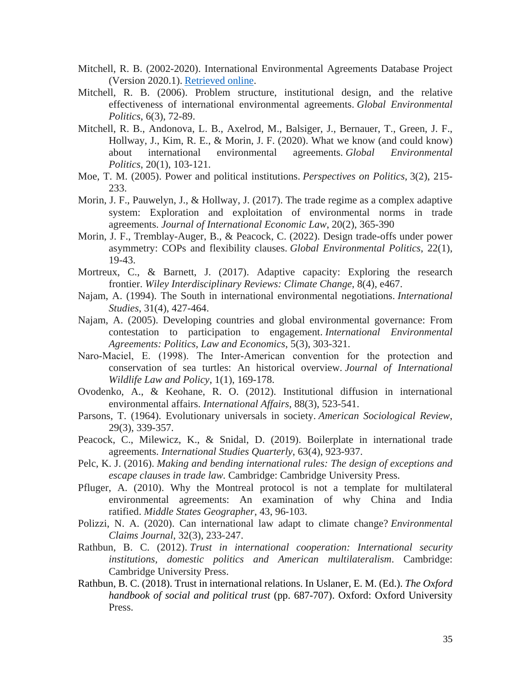- Mitchell, R. B. (2002-2020). International Environmental Agreements Database Project (Version 2020.1). [Retrieved online.](http://iea.uoregon.edu/)
- Mitchell, R. B. (2006). Problem structure, institutional design, and the relative effectiveness of international environmental agreements. *Global Environmental Politics*, 6(3), 72-89.
- Mitchell, R. B., Andonova, L. B., Axelrod, M., Balsiger, J., Bernauer, T., Green, J. F., Hollway, J., Kim, R. E., & Morin, J. F. (2020). What we know (and could know) about international environmental agreements. *Global Environmental Politics*, 20(1), 103-121.
- Moe, T. M. (2005). Power and political institutions. *Perspectives on Politics*, 3(2), 215- 233.
- Morin, J. F., Pauwelyn, J., & Hollway, J. (2017). The trade regime as a complex adaptive system: Exploration and exploitation of environmental norms in trade agreements. *Journal of International Economic Law*, 20(2), 365-390
- Morin, J. F., Tremblay-Auger, B., & Peacock, C. (2022). Design trade-offs under power asymmetry: COPs and flexibility clauses. *Global Environmental Politics*, 22(1), 19-43.
- Mortreux, C., & Barnett, J. (2017). Adaptive capacity: Exploring the research frontier. *Wiley Interdisciplinary Reviews: Climate Change*, 8(4), e467.
- Najam, A. (1994). The South in international environmental negotiations. *International Studies*, 31(4), 427-464.
- Najam, A. (2005). Developing countries and global environmental governance: From contestation to participation to engagement. *International Environmental Agreements: Politics, Law and Economics*, 5(3), 303-321.
- Naro-Maciel, E. (1998). The Inter-American convention for the protection and conservation of sea turtles: An historical overview. *Journal of International Wildlife Law and Policy*, 1(1), 169-178.
- Ovodenko, A., & Keohane, R. O. (2012). Institutional diffusion in international environmental affairs. *International Affairs*, 88(3), 523-541.
- Parsons, T. (1964). Evolutionary universals in society. *American Sociological Review*, 29(3), 339-357.
- Peacock, C., Milewicz, K., & Snidal, D. (2019). Boilerplate in international trade agreements. *International Studies Quarterly*, 63(4), 923-937.
- Pelc, K. J. (2016). *Making and bending international rules: The design of exceptions and escape clauses in trade law.* Cambridge: Cambridge University Press.
- Pfluger, A. (2010). Why the Montreal protocol is not a template for multilateral environmental agreements: An examination of why China and India ratified. *Middle States Geographer*, 43, 96-103.
- Polizzi, N. A. (2020). Can international law adapt to climate change? *Environmental Claims Journal*, 32(3), 233-247.
- Rathbun, B. C. (2012). *Trust in international cooperation: International security institutions, domestic politics and American multilateralism*. Cambridge: Cambridge University Press.
- Rathbun, B. C. (2018). Trust in international relations. In Uslaner, E. M. (Ed.). *The Oxford handbook of social and political trust* (pp. 687-707). Oxford: Oxford University Press.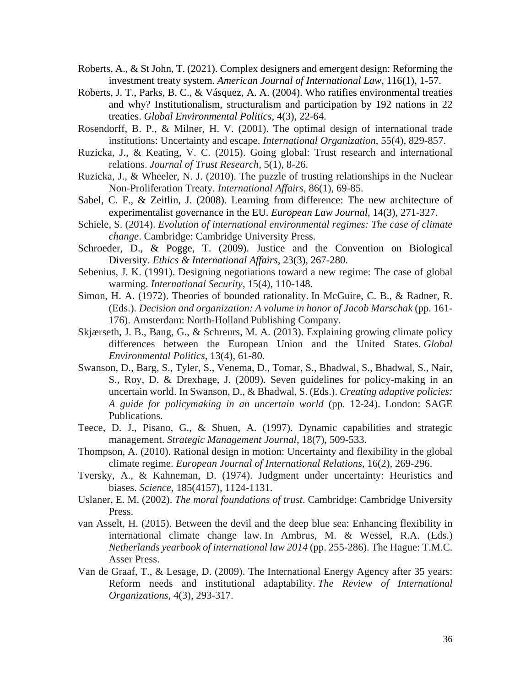- Roberts, A., & St John, T. (2021). Complex designers and emergent design: Reforming the investment treaty system. *American Journal of International Law*, 116(1), 1-57.
- Roberts, J. T., Parks, B. C., & Vásquez, A. A. (2004). Who ratifies environmental treaties and why? Institutionalism, structuralism and participation by 192 nations in 22 treaties. *Global Environmental Politics*, 4(3), 22-64.
- Rosendorff, B. P., & Milner, H. V. (2001). The optimal design of international trade institutions: Uncertainty and escape. *International Organization*, 55(4), 829-857.
- Ruzicka, J., & Keating, V. C. (2015). Going global: Trust research and international relations. *Journal of Trust Research*, 5(1), 8-26.
- Ruzicka, J., & Wheeler, N. J. (2010). The puzzle of trusting relationships in the Nuclear Non-Proliferation Treaty. *International Affairs*, 86(1), 69-85.
- Sabel, C. F., & Zeitlin, J. (2008). Learning from difference: The new architecture of experimentalist governance in the EU. *European Law Journal*, 14(3), 271-327.
- Schiele, S. (2014). *Evolution of international environmental regimes: The case of climate change*. Cambridge: Cambridge University Press.
- Schroeder, D., & Pogge, T. (2009). Justice and the Convention on Biological Diversity. *Ethics & International Affairs*, 23(3), 267-280.
- Sebenius, J. K. (1991). Designing negotiations toward a new regime: The case of global warming. *International Security*, 15(4), 110-148.
- Simon, H. A. (1972). Theories of bounded rationality. In McGuire, C. B., & Radner, R. (Eds.). *Decision and organization: A volume in honor of Jacob Marschak* (pp. 161- 176). Amsterdam: North-Holland Publishing Company.
- Skjærseth, J. B., Bang, G., & Schreurs, M. A. (2013). Explaining growing climate policy differences between the European Union and the United States. *Global Environmental Politics*, 13(4), 61-80.
- Swanson, D., Barg, S., Tyler, S., Venema, D., Tomar, S., Bhadwal, S., Bhadwal, S., Nair, S., Roy, D. & Drexhage, J. (2009). Seven guidelines for policy-making in an uncertain world. In Swanson, D., & Bhadwal, S. (Eds.). *Creating adaptive policies: A guide for policymaking in an uncertain world* (pp. 12-24). London: SAGE Publications.
- Teece, D. J., Pisano, G., & Shuen, A. (1997). Dynamic capabilities and strategic management. *Strategic Management Journal*, 18(7), 509-533.
- Thompson, A. (2010). Rational design in motion: Uncertainty and flexibility in the global climate regime. *European Journal of International Relations*, 16(2), 269-296.
- Tversky, A., & Kahneman, D. (1974). Judgment under uncertainty: Heuristics and biases. *Science*, 185(4157), 1124-1131.
- Uslaner, E. M. (2002). *The moral foundations of trust*. Cambridge: Cambridge University Press.
- van Asselt, H. (2015). Between the devil and the deep blue sea: Enhancing flexibility in international climate change law. In Ambrus, M. & Wessel, R.A. (Eds.) *Netherlands yearbook of international law 2014* (pp. 255-286). The Hague: T.M.C. Asser Press.
- Van de Graaf, T., & Lesage, D. (2009). The International Energy Agency after 35 years: Reform needs and institutional adaptability. *The Review of International Organizations*, 4(3), 293-317.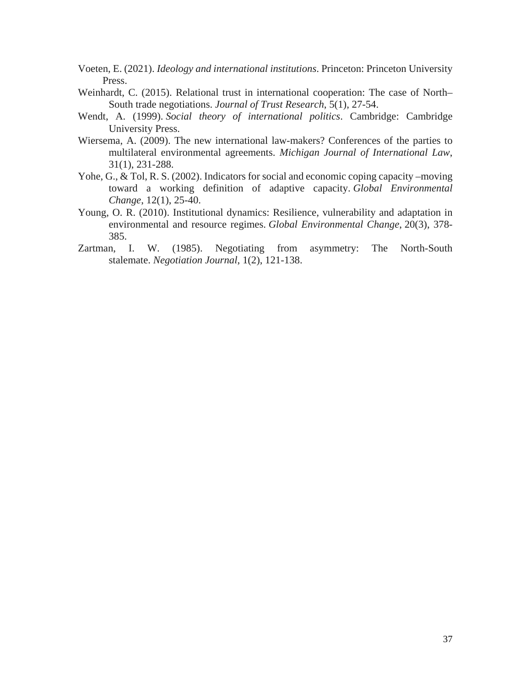- Voeten, E. (2021). *Ideology and international institutions*. Princeton: Princeton University Press.
- Weinhardt, C. (2015). Relational trust in international cooperation: The case of North– South trade negotiations. *Journal of Trust Research*, 5(1), 27-54.
- Wendt, A. (1999). *Social theory of international politics*. Cambridge: Cambridge University Press.
- Wiersema, A. (2009). The new international law-makers? Conferences of the parties to multilateral environmental agreements. *Michigan Journal of International Law*, 31(1), 231-288.
- Yohe, G., & Tol, R. S. (2002). Indicators for social and economic coping capacity –moving toward a working definition of adaptive capacity. *Global Environmental Change*, 12(1), 25-40.
- Young, O. R. (2010). Institutional dynamics: Resilience, vulnerability and adaptation in environmental and resource regimes. *Global Environmental Change*, 20(3), 378- 385.
- Zartman, I. W. (1985). Negotiating from asymmetry: The North-South stalemate. *Negotiation Journal*, 1(2), 121-138.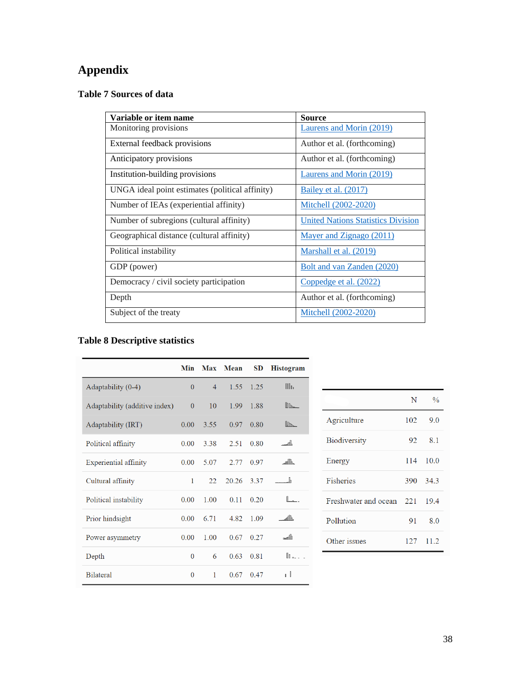# **Appendix**

# **Table 7 Sources of data**

| Variable or item name                           | <b>Source</b>                             |
|-------------------------------------------------|-------------------------------------------|
| Monitoring provisions                           | Laurens and Morin (2019)                  |
| External feedback provisions                    | Author et al. (forthcoming)               |
| Anticipatory provisions                         | Author et al. (forthcoming)               |
| Institution-building provisions                 | Laurens and Morin (2019)                  |
| UNGA ideal point estimates (political affinity) | <b>Bailey et al.</b> (2017)               |
| Number of IEAs (experiential affinity)          | Mitchell (2002-2020)                      |
| Number of subregions (cultural affinity)        | <b>United Nations Statistics Division</b> |
| Geographical distance (cultural affinity)       | Mayer and Zignago (2011)                  |
| Political instability                           | Marshall et al. (2019)                    |
| GDP (power)                                     | Bolt and van Zanden (2020)                |
| Democracy / civil society participation         | Coppedge et al. (2022)                    |
| Depth                                           | Author et al. (forthcoming)               |
| Subject of the treaty                           | Mitchell (2002-2020)                      |

# **Table 8 Descriptive statistics**

|                               | <b>Min</b>     |                | Max Mean | SD   | <b>Histogram</b> |
|-------------------------------|----------------|----------------|----------|------|------------------|
| Adaptability (0-4)            | $\Omega$       | $\overline{4}$ | 1.55     | 1.25 | III <sub>1</sub> |
| Adaptability (additive index) | $\Omega$       | 10             | 1.99     | 1.88 | $\mathbb{R}$     |
| Adaptability (IRT)            | 0.00           | 3.55           | 0.97     | 0.80 | $\mathbb{I}$     |
| Political affinity            | 0.00           | 3.38           | 2.51     | 0.80 | _ակ              |
| Experiential affinity         | 0.00           | 5.07           | 2.77     | 0.97 | $\mathbb{H}$     |
| Cultural affinity             | 1              | 22             | 20.26    | 3.37 | ․ի               |
| Political instability         | 0.00           | 1.00           | 0.11     | 0.20 | <b>L.</b>        |
| Prior hindsight               | 0.00           | 6.71           | 4.82     | 1.09 | $\mathbb{H}$     |
| Power asymmetry               | 0.00           | 1.00           | 0.67     | 0.27 | dhaa             |
| Depth                         | $\overline{0}$ | 6              | 0.63     | 0.81 | n.               |
| <b>Bilateral</b>              | $\overline{0}$ | 1              | 0.67     | 0.47 | $\mathbf{1}$     |

|                      | N   | $\frac{0}{0}$ |
|----------------------|-----|---------------|
| Agriculture          | 102 | 9.0           |
| <b>Biodiversity</b>  | 92  | 8.1           |
| Energy               |     | 114 10.0      |
| <b>Fisheries</b>     |     | 390 34.3      |
| Freshwater and ocean | 221 | 19.4          |
| Pollution            | 91  | 8.0           |
| Other issues         |     | 127 11.2      |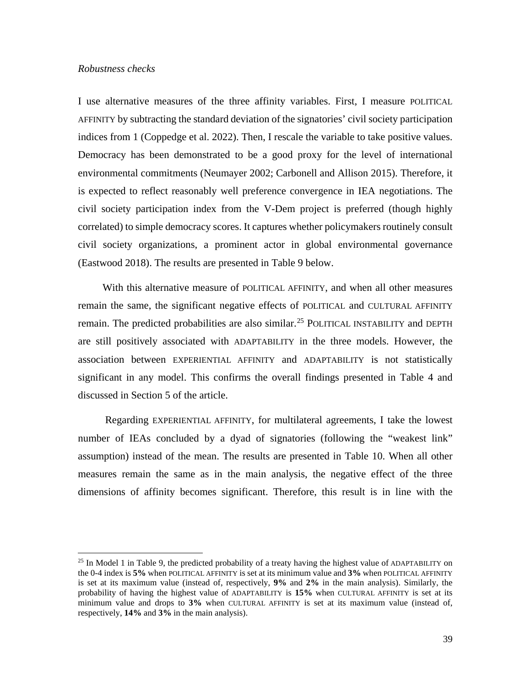#### *Robustness checks*

 $\overline{\phantom{a}}$ 

I use alternative measures of the three affinity variables. First, I measure POLITICAL AFFINITY by subtracting the standard deviation of the signatories' civil society participation indices from 1 (Coppedge et al. 2022). Then, I rescale the variable to take positive values. Democracy has been demonstrated to be a good proxy for the level of international environmental commitments (Neumayer 2002; Carbonell and Allison 2015). Therefore, it is expected to reflect reasonably well preference convergence in IEA negotiations. The civil society participation index from the V-Dem project is preferred (though highly correlated) to simple democracy scores. It captures whether policymakers routinely consult civil society organizations, a prominent actor in global environmental governance (Eastwood 2018). The results are presented in Table 9 below.

With this alternative measure of POLITICAL AFFINITY, and when all other measures remain the same, the significant negative effects of POLITICAL and CULTURAL AFFINITY remain. The predicted probabilities are also similar.<sup>[25](#page-38-0)</sup> POLITICAL INSTABILITY and DEPTH are still positively associated with ADAPTABILITY in the three models. However, the association between EXPERIENTIAL AFFINITY and ADAPTABILITY is not statistically significant in any model. This confirms the overall findings presented in Table 4 and discussed in Section 5 of the article.

Regarding EXPERIENTIAL AFFINITY, for multilateral agreements, I take the lowest number of IEAs concluded by a dyad of signatories (following the "weakest link" assumption) instead of the mean. The results are presented in Table 10. When all other measures remain the same as in the main analysis, the negative effect of the three dimensions of affinity becomes significant. Therefore, this result is in line with the

<span id="page-38-0"></span> $^{25}$  In Model 1 in Table 9, the predicted probability of a treaty having the highest value of ADAPTABILITY on the 0-4 index is **5%** when POLITICAL AFFINITY is set at its minimum value and **3%** when POLITICAL AFFINITY is set at its maximum value (instead of, respectively, **9%** and **2%** in the main analysis). Similarly, the probability of having the highest value of ADAPTABILITY is **15%** when CULTURAL AFFINITY is set at its minimum value and drops to **3%** when CULTURAL AFFINITY is set at its maximum value (instead of, respectively, **14%** and **3%** in the main analysis).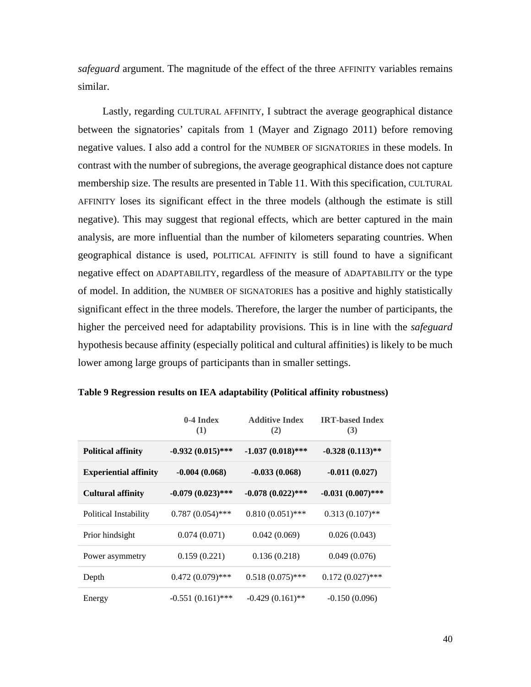*safeguard* argument. The magnitude of the effect of the three AFFINITY variables remains similar.

Lastly, regarding CULTURAL AFFINITY, I subtract the average geographical distance between the signatories' capitals from 1 (Mayer and Zignago 2011) before removing negative values. I also add a control for the NUMBER OF SIGNATORIES in these models. In contrast with the number of subregions, the average geographical distance does not capture membership size. The results are presented in Table 11. With this specification, CULTURAL AFFINITY loses its significant effect in the three models (although the estimate is still negative). This may suggest that regional effects, which are better captured in the main analysis, are more influential than the number of kilometers separating countries. When geographical distance is used, POLITICAL AFFINITY is still found to have a significant negative effect on ADAPTABILITY, regardless of the measure of ADAPTABILITY or the type of model. In addition, the NUMBER OF SIGNATORIES has a positive and highly statistically significant effect in the three models. Therefore, the larger the number of participants, the higher the perceived need for adaptability provisions. This is in line with the *safeguard* hypothesis because affinity (especially political and cultural affinities) is likely to be much lower among large groups of participants than in smaller settings.

|                              | $0-4$ Index<br>(1)  | <b>Additive Index</b><br>(2) | <b>IRT-based Index</b><br>(3) |
|------------------------------|---------------------|------------------------------|-------------------------------|
| <b>Political affinity</b>    | $-0.932(0.015)$ *** | $-1.037(0.018)$ ***          | $-0.328(0.113)$ **            |
| <b>Experiential affinity</b> | $-0.004(0.068)$     | $-0.033(0.068)$              | $-0.011(0.027)$               |
| <b>Cultural affinity</b>     | $-0.079(0.023)$ *** | $-0.078(0.022)$ ***          | $-0.031(0.007)$ ***           |
| Political Instability        | $0.787(0.054)$ ***  | $0.810(0.051)$ ***           | $0.313(0.107)$ **             |
| Prior hindsight              | 0.074(0.071)        | 0.042(0.069)                 | 0.026(0.043)                  |
| Power asymmetry              | 0.159(0.221)        | 0.136(0.218)                 | 0.049(0.076)                  |
| Depth                        | $0.472(0.079)$ ***  | $0.518(0.075)$ ***           | $0.172(0.027)$ ***            |
| Energy                       | $-0.551(0.161)$ *** | $-0.429(0.161)$ **           | $-0.150(0.096)$               |

**Table 9 Regression results on IEA adaptability (Political affinity robustness)**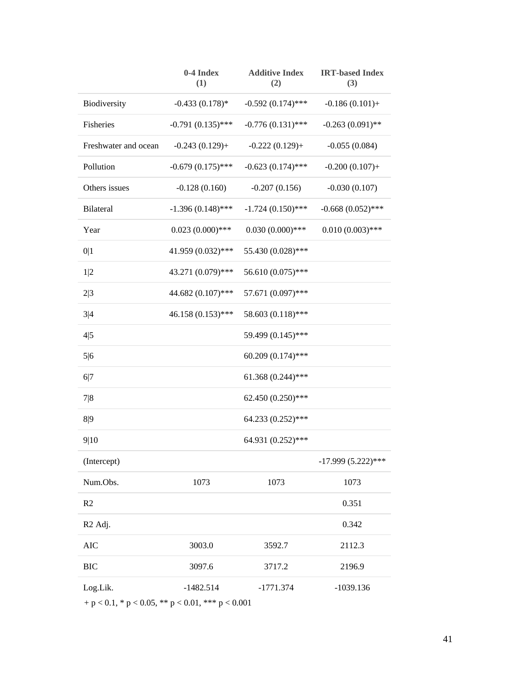|                      | 0-4 Index<br>(1)    | <b>Additive Index</b><br>(2) | <b>IRT-based Index</b><br>(3) |
|----------------------|---------------------|------------------------------|-------------------------------|
| Biodiversity         | $-0.433(0.178)$ *   | $-0.592(0.174)$ ***          | $-0.186(0.101) +$             |
| Fisheries            | $-0.791(0.135)$ *** | $-0.776(0.131)$ ***          | $-0.263(0.091)$ **            |
| Freshwater and ocean | $-0.243(0.129) +$   | $-0.222(0.129) +$            | $-0.055(0.084)$               |
| Pollution            | $-0.679(0.175)$ *** | $-0.623(0.174)$ ***          | $-0.200(0.107) +$             |
| Others issues        | $-0.128(0.160)$     | $-0.207(0.156)$              | $-0.030(0.107)$               |
| Bilateral            | $-1.396(0.148)$ *** | $-1.724(0.150)$ ***          | $-0.668(0.052)$ ***           |
| Year                 | $0.023(0.000)$ ***  | $0.030(0.000)$ ***           | $0.010(0.003)$ ***            |
| 0 1                  | 41.959 (0.032)***   | 55.430 (0.028)***            |                               |
| 1 2                  | 43.271 (0.079)***   | 56.610 (0.075)***            |                               |
| 2 3                  | 44.682 (0.107)***   | 57.671 (0.097)***            |                               |
| 3 4                  | 46.158 (0.153)***   | 58.603 (0.118)***            |                               |
| 4 5                  |                     | 59.499 (0.145)***            |                               |
| 5 6                  |                     | 60.209 (0.174)***            |                               |
| 6 7                  |                     | 61.368 (0.244)***            |                               |
| 7 8                  |                     | 62.450 (0.250)***            |                               |
| 8 9                  |                     | 64.233 (0.252)***            |                               |
| 9 10                 |                     | 64.931 (0.252)***            |                               |
| (Intercept)          |                     |                              | $-17.999(5.222)$ ***          |
| Num.Obs.             | 1073                | 1073                         | 1073                          |
| R2                   |                     |                              | 0.351                         |
| R <sub>2</sub> Adj.  |                     |                              | 0.342                         |
| <b>AIC</b>           | 3003.0              | 3592.7                       | 2112.3                        |
| <b>BIC</b>           | 3097.6              | 3717.2                       | 2196.9                        |
| Log.Lik.             | $-1482.514$         | $-1771.374$                  | $-1039.136$                   |

 $\,$  + p  $<$  0.1, \* p  $<$  0.05, \*\* p  $<$  0.01, \*\*\* p  $<$  0.001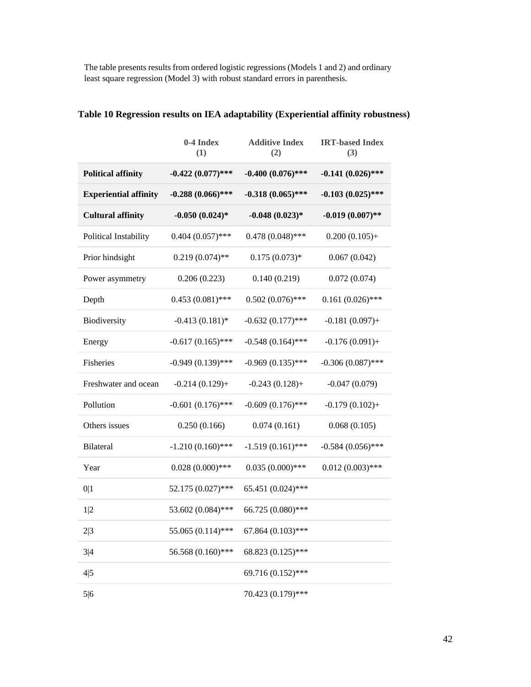The table presents results from ordered logistic regressions (Models 1 and 2) and ordinary least square regression (Model 3) with robust standard errors in parenthesis.

|                              | 0-4 Index<br>(1)    | <b>Additive Index</b><br>(2) | <b>IRT-based Index</b><br>(3) |
|------------------------------|---------------------|------------------------------|-------------------------------|
| <b>Political affinity</b>    | $-0.422(0.077)$ *** | $-0.400~(0.076)$ ***         | $-0.141(0.026)$ ***           |
| <b>Experiential affinity</b> | $-0.288(0.066)$ *** | $-0.318(0.065)$ ***          | $-0.103(0.025)$ ***           |
| <b>Cultural affinity</b>     | $-0.050(0.024)$ *   | $-0.048(0.023)*$             | $-0.019(0.007)$ **            |
| Political Instability        | $0.404(0.057)$ ***  | $0.478(0.048)$ ***           | $0.200(0.105) +$              |
| Prior hindsight              | $0.219(0.074)$ **   | $0.175(0.073)*$              | 0.067(0.042)                  |
| Power asymmetry              | 0.206(0.223)        | 0.140(0.219)                 | 0.072(0.074)                  |
| Depth                        | $0.453(0.081)$ ***  | $0.502(0.076)$ ***           | $0.161(0.026)$ ***            |
| Biodiversity                 | $-0.413(0.181)$ *   | $-0.632(0.177)$ ***          | $-0.181(0.097) +$             |
| Energy                       | $-0.617(0.165)$ *** | $-0.548(0.164)$ ***          | $-0.176(0.091) +$             |
| Fisheries                    | $-0.949(0.139)$ *** | $-0.969(0.135)$ ***          | $-0.306(0.087)$ ***           |
| Freshwater and ocean         | $-0.214(0.129) +$   | $-0.243(0.128)+$             | $-0.047(0.079)$               |
| Pollution                    | $-0.601(0.176)$ *** | $-0.609(0.176)$ ***          | $-0.179(0.102) +$             |
| Others issues                | 0.250(0.166)        | 0.074(0.161)                 | 0.068(0.105)                  |
| <b>Bilateral</b>             | $-1.210(0.160)$ *** | $-1.519(0.161)$ ***          | $-0.584(0.056)$ ***           |
| Year                         | $0.028(0.000)$ ***  | $0.035(0.000)$ ***           | $0.012(0.003)$ ***            |
| 0 1                          | 52.175 (0.027)***   | 65.451 (0.024)***            |                               |
| 1 2                          | 53.602 (0.084)***   | 66.725 (0.080)***            |                               |
| 2 3                          | 55.065 (0.114)***   | 67.864 (0.103)***            |                               |
| 3 4                          | 56.568 (0.160)***   | 68.823 (0.125)***            |                               |
| 4 5                          |                     | 69.716 (0.152)***            |                               |
| 5 6                          |                     | 70.423 (0.179)***            |                               |

# **Table 10 Regression results on IEA adaptability (Experiential affinity robustness)**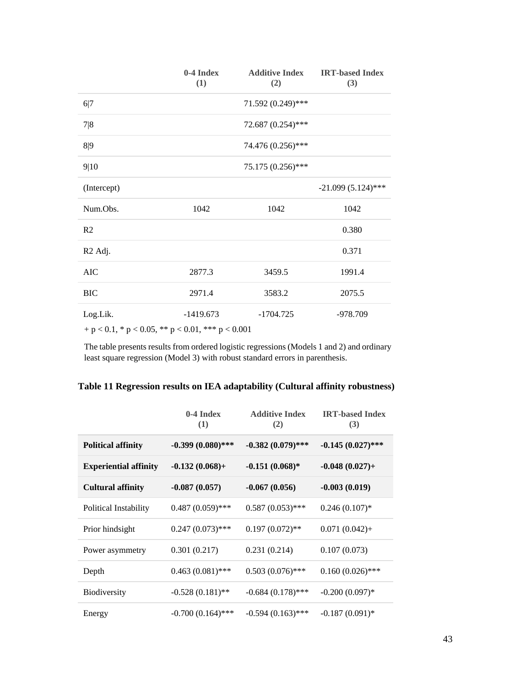|                                                                                         | 0-4 Index<br>(1) | <b>Additive Index</b><br>(2) | <b>IRT-based Index</b><br>(3) |
|-----------------------------------------------------------------------------------------|------------------|------------------------------|-------------------------------|
| 6 7                                                                                     |                  | 71.592 (0.249)***            |                               |
| 7 8                                                                                     |                  | 72.687 (0.254)***            |                               |
| 8 9                                                                                     |                  | 74.476 (0.256)***            |                               |
| 9 10                                                                                    |                  | 75.175 (0.256)***            |                               |
| (Intercept)                                                                             |                  |                              | $-21.099(5.124)$ ***          |
| Num.Obs.                                                                                | 1042             | 1042                         | 1042                          |
| R2                                                                                      |                  |                              | 0.380                         |
| R <sub>2</sub> Adj.                                                                     |                  |                              | 0.371                         |
| <b>AIC</b>                                                                              | 2877.3           | 3459.5                       | 1991.4                        |
| <b>BIC</b>                                                                              | 2971.4           | 3583.2                       | 2075.5                        |
| Log.Lik.<br>$\alpha$ $\alpha$ $\beta$ $\alpha$ $\beta$ $\alpha$ $\beta$ $\beta$ $\beta$ | $-1419.673$      | $-1704.725$                  | $-978.709$                    |

 $\,$  + p  $<$  0.1, \* p  $<$  0.05, \*\* p  $<$  0.01, \*\*\* p  $<$  0.001

The table presents results from ordered logistic regressions (Models 1 and 2) and ordinary least square regression (Model 3) with robust standard errors in parenthesis.

|                              | $0-4$ Index<br>(1)  | <b>Additive Index</b><br>(2) | <b>IRT-based Index</b><br>(3) |
|------------------------------|---------------------|------------------------------|-------------------------------|
| <b>Political affinity</b>    | $-0.399(0.080)$ *** | $-0.382(0.079)$ ***          | $-0.145(0.027)$ ***           |
| <b>Experiential affinity</b> | $-0.132(0.068) +$   | $-0.151(0.068)*$             | $-0.048(0.027) +$             |
| <b>Cultural affinity</b>     | $-0.087(0.057)$     | $-0.067(0.056)$              | $-0.003(0.019)$               |
| Political Instability        | $0.487(0.059)$ ***  | $0.587(0.053)$ ***           | $0.246(0.107)*$               |
| Prior hindsight              | $0.247(0.073)$ ***  | $0.197(0.072)$ **            | $0.071(0.042) +$              |
| Power asymmetry              | 0.301(0.217)        | 0.231(0.214)                 | 0.107(0.073)                  |
| Depth                        | $0.463(0.081)$ ***  | $0.503(0.076)$ ***           | $0.160(0.026)$ ***            |
| <b>Biodiversity</b>          | $-0.528(0.181)$ **  | $-0.684(0.178)$ ***          | $-0.200(0.097)$ *             |
| Energy                       | $-0.700(0.164)$ *** | $-0.594(0.163)$ ***          | $-0.187(0.091)*$              |

**Table 11 Regression results on IEA adaptability (Cultural affinity robustness)**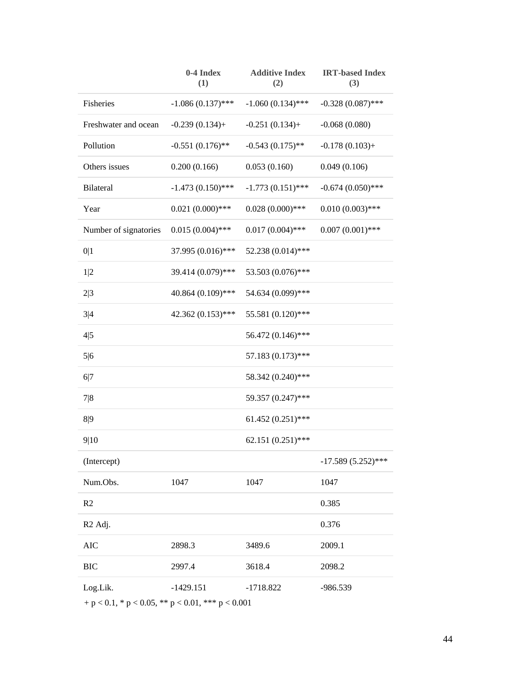|                       | 0-4 Index<br>(1)    | <b>Additive Index</b><br>(2) | <b>IRT-based Index</b><br>(3) |
|-----------------------|---------------------|------------------------------|-------------------------------|
| Fisheries             | $-1.086(0.137)$ *** | $-1.060(0.134)$ ***          | $-0.328(0.087)$ ***           |
| Freshwater and ocean  | $-0.239(0.134) +$   | $-0.251(0.134) +$            | $-0.068(0.080)$               |
| Pollution             | $-0.551(0.176)$ **  | $-0.543(0.175)$ **           | $-0.178(0.103) +$             |
| Others issues         | 0.200(0.166)        | 0.053(0.160)                 | 0.049(0.106)                  |
| <b>Bilateral</b>      | $-1.473(0.150)$ *** | $-1.773(0.151)$ ***          | $-0.674(0.050)$ ***           |
| Year                  | $0.021(0.000)$ ***  | $0.028(0.000)$ ***           | $0.010(0.003)$ ***            |
| Number of signatories | $0.015(0.004)$ ***  | $0.017(0.004)$ ***           | $0.007(0.001)$ ***            |
| 0 1                   | 37.995 (0.016)***   | 52.238 (0.014)***            |                               |
| 1 2                   | 39.414 (0.079)***   | 53.503 (0.076)***            |                               |
| 2 3                   | 40.864 (0.109)***   | 54.634 (0.099)***            |                               |
| 3 4                   | 42.362 (0.153)***   | 55.581 (0.120)***            |                               |
| 4 5                   |                     | 56.472 (0.146)***            |                               |
| 5 6                   |                     | 57.183 (0.173)***            |                               |
| 6 7                   |                     | 58.342 (0.240)***            |                               |
| 7 8                   |                     | 59.357 (0.247)***            |                               |
| 8 9                   |                     | 61.452 $(0.251)$ ***         |                               |
| 9 10                  |                     | 62.151 (0.251)***            |                               |
| (Intercept)           |                     |                              | $-17.589(5.252)$ ***          |
| Num.Obs.              | 1047                | 1047                         | 1047                          |
| R2                    |                     |                              | 0.385                         |
| R <sub>2</sub> Adj.   |                     |                              | 0.376                         |
| <b>AIC</b>            | 2898.3              | 3489.6                       | 2009.1                        |
| <b>BIC</b>            | 2997.4              | 3618.4                       | 2098.2                        |
| Log.Lik.              | $-1429.151$         | $-1718.822$                  | -986.539                      |

 $\,$  + p  $<$  0.1, \* p  $<$  0.05, \*\* p  $<$  0.01, \*\*\* p  $<$  0.001